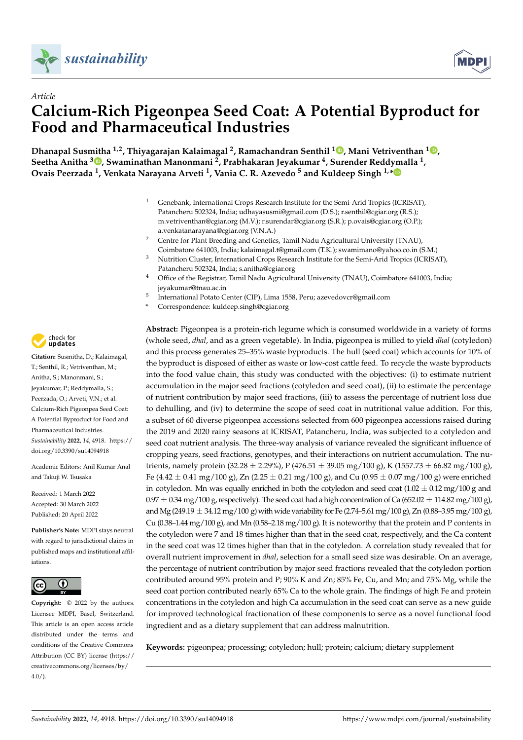



# *Article* **Calcium-Rich Pigeonpea Seed Coat: A Potential Byproduct for Food and Pharmaceutical Industries**

**Dhanapal Susmitha 1,2, Thiyagarajan Kalaimagal <sup>2</sup> , Ramachandran Senthil <sup>1</sup> [,](https://orcid.org/0000-0003-4017-8180) Mani Vetriventhan <sup>1</sup> [,](https://orcid.org/0000-0001-9111-2320) Seetha Anitha <sup>3</sup> [,](https://orcid.org/0000-0001-7393-5489) Swaminathan Manonmani <sup>2</sup> , Prabhakaran Jeyakumar <sup>4</sup> , Surender Reddymalla <sup>1</sup> , Ovais Peerzada <sup>1</sup> , Venkata Narayana Arveti <sup>1</sup> , Vania C. R. Azevedo <sup>5</sup> and Kuldeep Singh 1,[\\*](https://orcid.org/0000-0001-5239-6586)**

- <sup>1</sup> Genebank, International Crops Research Institute for the Semi-Arid Tropics (ICRISAT), Patancheru 502324, India; udhayasusmi@gmail.com (D.S.); r.senthil@cgiar.org (R.S.); m.vetriventhan@cgiar.org (M.V.); r.surendar@cgiar.org (S.R.); p.ovais@cgiar.org (O.P.); a.venkatanarayana@cgiar.org (V.N.A.)
- <sup>2</sup> Centre for Plant Breeding and Genetics, Tamil Nadu Agricultural University (TNAU), Coimbatore 641003, India; kalaimagal.t@gmail.com (T.K.); swamimano@yahoo.co.in (S.M.)
- <sup>3</sup> Nutrition Cluster, International Crops Research Institute for the Semi-Arid Tropics (ICRISAT), Patancheru 502324, India; s.anitha@cgiar.org
- <sup>4</sup> Office of the Registrar, Tamil Nadu Agricultural University (TNAU), Coimbatore 641003, India; jeyakumar@tnau.ac.in
- 5 International Potato Center (CIP), Lima 1558, Peru; azevedovcr@gmail.com
- **\*** Correspondence: kuldeep.singh@cgiar.org

**Abstract:** Pigeonpea is a protein-rich legume which is consumed worldwide in a variety of forms (whole seed, *dhal*, and as a green vegetable). In India, pigeonpea is milled to yield *dhal* (cotyledon) and this process generates 25–35% waste byproducts. The hull (seed coat) which accounts for 10% of the byproduct is disposed of either as waste or low-cost cattle feed. To recycle the waste byproducts into the food value chain, this study was conducted with the objectives: (i) to estimate nutrient accumulation in the major seed fractions (cotyledon and seed coat), (ii) to estimate the percentage of nutrient contribution by major seed fractions, (iii) to assess the percentage of nutrient loss due to dehulling, and (iv) to determine the scope of seed coat in nutritional value addition. For this, a subset of 60 diverse pigeonpea accessions selected from 600 pigeonpea accessions raised during the 2019 and 2020 rainy seasons at ICRISAT, Patancheru, India, was subjected to a cotyledon and seed coat nutrient analysis. The three-way analysis of variance revealed the significant influence of cropping years, seed fractions, genotypes, and their interactions on nutrient accumulation. The nutrients, namely protein (32.28  $\pm$  2.29%), P (476.51  $\pm$  39.05 mg/100 g), K (1557.73  $\pm$  66.82 mg/100 g), Fe  $(4.42 \pm 0.41 \text{ mg}/100 \text{ g})$ , Zn  $(2.25 \pm 0.21 \text{ mg}/100 \text{ g})$ , and Cu  $(0.95 \pm 0.07 \text{ mg}/100 \text{ g})$  were enriched in cotyledon. Mn was equally enriched in both the cotyledon and seed coat  $(1.02 \pm 0.12 \,\text{mg}/100 \,\text{g}$  and  $0.97 \pm 0.34$  mg/100 g, respectively). The seed coat had a high concentration of Ca (652.02  $\pm$  114.82 mg/100 g), and Mg (249.19  $\pm$  34.12 mg/100 g) with wide variability for Fe (2.74–5.61 mg/100 g), Zn (0.88–3.95 mg/100 g), Cu (0.38–1.44 mg/100 g), and Mn (0.58–2.18 mg/100 g). It is noteworthy that the protein and P contents in the cotyledon were 7 and 18 times higher than that in the seed coat, respectively, and the Ca content in the seed coat was 12 times higher than that in the cotyledon. A correlation study revealed that for overall nutrient improvement in *dhal*, selection for a small seed size was desirable. On an average, the percentage of nutrient contribution by major seed fractions revealed that the cotyledon portion contributed around 95% protein and P; 90% K and Zn; 85% Fe, Cu, and Mn; and 75% Mg, while the seed coat portion contributed nearly 65% Ca to the whole grain. The findings of high Fe and protein concentrations in the cotyledon and high Ca accumulation in the seed coat can serve as a new guide for improved technological fractionation of these components to serve as a novel functional food ingredient and as a dietary supplement that can address malnutrition.

**Keywords:** pigeonpea; processing; cotyledon; hull; protein; calcium; dietary supplement



**Citation:** Susmitha, D.; Kalaimagal, T.; Senthil, R.; Vetriventhan, M.; Anitha, S.; Manonmani, S.; Jeyakumar, P.; Reddymalla, S.; Peerzada, O.; Arveti, V.N.; et al. Calcium-Rich Pigeonpea Seed Coat: A Potential Byproduct for Food and Pharmaceutical Industries. *Sustainability* **2022**, *14*, 4918. [https://](https://doi.org/10.3390/su14094918) [doi.org/10.3390/su14094918](https://doi.org/10.3390/su14094918)

Academic Editors: Anil Kumar Anal and Takuji W. Tsusaka

Received: 1 March 2022 Accepted: 30 March 2022 Published: 20 April 2022

**Publisher's Note:** MDPI stays neutral with regard to jurisdictional claims in published maps and institutional affiliations.



**Copyright:** © 2022 by the authors. Licensee MDPI, Basel, Switzerland. This article is an open access article distributed under the terms and conditions of the Creative Commons Attribution (CC BY) license [\(https://](https://creativecommons.org/licenses/by/4.0/) [creativecommons.org/licenses/by/](https://creativecommons.org/licenses/by/4.0/)  $4.0/$ ).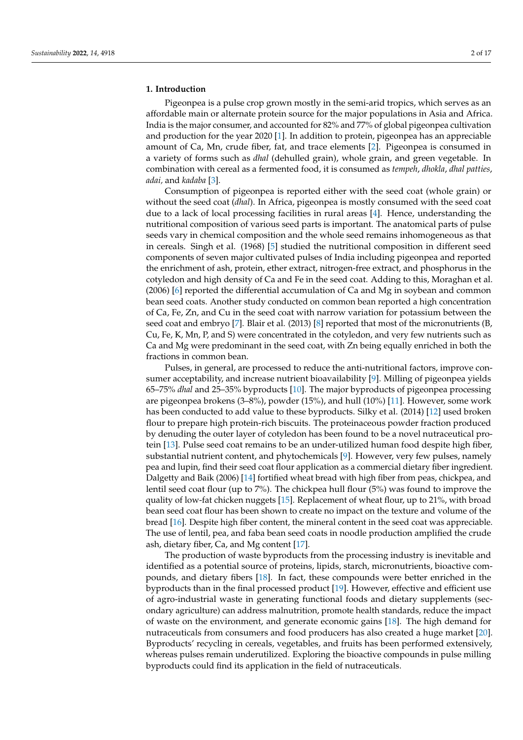# **1. Introduction**

Pigeonpea is a pulse crop grown mostly in the semi-arid tropics, which serves as an affordable main or alternate protein source for the major populations in Asia and Africa. India is the major consumer, and accounted for 82% and 77% of global pigeonpea cultivation and production for the year 2020 [\[1\]](#page-14-0). In addition to protein, pigeonpea has an appreciable amount of Ca, Mn, crude fiber, fat, and trace elements [\[2\]](#page-14-1). Pigeonpea is consumed in a variety of forms such as *dhal* (dehulled grain), whole grain, and green vegetable. In combination with cereal as a fermented food, it is consumed as *tempeh*, *dhokla*, *dhal patties*, *adai,* and *kadaba* [\[3\]](#page-14-2).

Consumption of pigeonpea is reported either with the seed coat (whole grain) or without the seed coat (*dhal*). In Africa, pigeonpea is mostly consumed with the seed coat due to a lack of local processing facilities in rural areas [\[4\]](#page-14-3). Hence, understanding the nutritional composition of various seed parts is important. The anatomical parts of pulse seeds vary in chemical composition and the whole seed remains inhomogeneous as that in cereals. Singh et al. (1968) [\[5\]](#page-14-4) studied the nutritional composition in different seed components of seven major cultivated pulses of India including pigeonpea and reported the enrichment of ash, protein, ether extract, nitrogen-free extract, and phosphorus in the cotyledon and high density of Ca and Fe in the seed coat. Adding to this, Moraghan et al. (2006) [\[6\]](#page-14-5) reported the differential accumulation of Ca and Mg in soybean and common bean seed coats. Another study conducted on common bean reported a high concentration of Ca, Fe, Zn, and Cu in the seed coat with narrow variation for potassium between the seed coat and embryo [\[7\]](#page-14-6). Blair et al. (2013) [\[8\]](#page-14-7) reported that most of the micronutrients (B, Cu, Fe, K, Mn, P, and S) were concentrated in the cotyledon, and very few nutrients such as Ca and Mg were predominant in the seed coat, with Zn being equally enriched in both the fractions in common bean.

Pulses, in general, are processed to reduce the anti-nutritional factors, improve consumer acceptability, and increase nutrient bioavailability [\[9\]](#page-14-8). Milling of pigeonpea yields 65–75% *dhal* and 25–35% byproducts [\[10\]](#page-14-9). The major byproducts of pigeonpea processing are pigeonpea brokens (3–8%), powder (15%), and hull (10%) [\[11\]](#page-14-10). However, some work has been conducted to add value to these byproducts. Silky et al. (2014) [\[12\]](#page-14-11) used broken flour to prepare high protein-rich biscuits. The proteinaceous powder fraction produced by denuding the outer layer of cotyledon has been found to be a novel nutraceutical protein [\[13\]](#page-14-12). Pulse seed coat remains to be an under-utilized human food despite high fiber, substantial nutrient content, and phytochemicals [\[9\]](#page-14-8). However, very few pulses, namely pea and lupin, find their seed coat flour application as a commercial dietary fiber ingredient. Dalgetty and Baik (2006) [\[14\]](#page-14-13) fortified wheat bread with high fiber from peas, chickpea, and lentil seed coat flour (up to 7%). The chickpea hull flour (5%) was found to improve the quality of low-fat chicken nuggets [\[15\]](#page-14-14). Replacement of wheat flour, up to 21%, with broad bean seed coat flour has been shown to create no impact on the texture and volume of the bread [\[16\]](#page-14-15). Despite high fiber content, the mineral content in the seed coat was appreciable. The use of lentil, pea, and faba bean seed coats in noodle production amplified the crude ash, dietary fiber, Ca, and Mg content [\[17\]](#page-14-16).

The production of waste byproducts from the processing industry is inevitable and identified as a potential source of proteins, lipids, starch, micronutrients, bioactive compounds, and dietary fibers [\[18\]](#page-14-17). In fact, these compounds were better enriched in the byproducts than in the final processed product [\[19\]](#page-14-18). However, effective and efficient use of agro-industrial waste in generating functional foods and dietary supplements (secondary agriculture) can address malnutrition, promote health standards, reduce the impact of waste on the environment, and generate economic gains [\[18\]](#page-14-17). The high demand for nutraceuticals from consumers and food producers has also created a huge market [\[20\]](#page-14-19). Byproducts' recycling in cereals, vegetables, and fruits has been performed extensively, whereas pulses remain underutilized. Exploring the bioactive compounds in pulse milling byproducts could find its application in the field of nutraceuticals.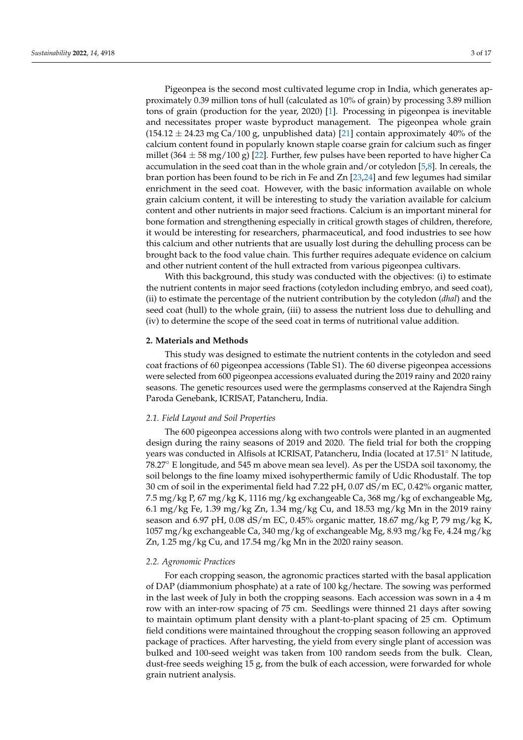Pigeonpea is the second most cultivated legume crop in India, which generates approximately 0.39 million tons of hull (calculated as 10% of grain) by processing 3.89 million tons of grain (production for the year, 2020) [\[1\]](#page-14-0). Processing in pigeonpea is inevitable and necessitates proper waste byproduct management. The pigeonpea whole grain  $(154.12 \pm 24.23 \text{ mg Ca}/100 \text{ g})$ , unpublished data) [\[21\]](#page-14-20) contain approximately 40% of the calcium content found in popularly known staple coarse grain for calcium such as finger millet (364  $\pm$  58 mg/100 g) [\[22\]](#page-14-21). Further, few pulses have been reported to have higher Ca accumulation in the seed coat than in the whole grain and/or cotyledon [\[5](#page-14-4)[,8\]](#page-14-7). In cereals, the bran portion has been found to be rich in Fe and Zn [\[23](#page-14-22)[,24\]](#page-14-23) and few legumes had similar enrichment in the seed coat. However, with the basic information available on whole grain calcium content, it will be interesting to study the variation available for calcium content and other nutrients in major seed fractions. Calcium is an important mineral for bone formation and strengthening especially in critical growth stages of children, therefore, it would be interesting for researchers, pharmaceutical, and food industries to see how this calcium and other nutrients that are usually lost during the dehulling process can be brought back to the food value chain. This further requires adequate evidence on calcium and other nutrient content of the hull extracted from various pigeonpea cultivars.

With this background, this study was conducted with the objectives: (i) to estimate the nutrient contents in major seed fractions (cotyledon including embryo, and seed coat), (ii) to estimate the percentage of the nutrient contribution by the cotyledon (*dhal*) and the seed coat (hull) to the whole grain, (iii) to assess the nutrient loss due to dehulling and (iv) to determine the scope of the seed coat in terms of nutritional value addition.

# **2. Materials and Methods**

This study was designed to estimate the nutrient contents in the cotyledon and seed coat fractions of 60 pigeonpea accessions (Table S1). The 60 diverse pigeonpea accessions were selected from 600 pigeonpea accessions evaluated during the 2019 rainy and 2020 rainy seasons. The genetic resources used were the germplasms conserved at the Rajendra Singh Paroda Genebank, ICRISAT, Patancheru, India.

## *2.1. Field Layout and Soil Properties*

The 600 pigeonpea accessions along with two controls were planted in an augmented design during the rainy seasons of 2019 and 2020. The field trial for both the cropping years was conducted in Alfisols at ICRISAT, Patancheru, India (located at 17.51◦ N latitude, 78.27◦ E longitude, and 545 m above mean sea level). As per the USDA soil taxonomy, the soil belongs to the fine loamy mixed isohyperthermic family of Udic Rhodustalf. The top 30 cm of soil in the experimental field had 7.22 pH, 0.07 dS/m EC, 0.42% organic matter, 7.5 mg/kg P, 67 mg/kg K, 1116 mg/kg exchangeable Ca, 368 mg/kg of exchangeable Mg, 6.1 mg/kg Fe, 1.39 mg/kg Zn, 1.34 mg/kg Cu, and 18.53 mg/kg Mn in the 2019 rainy season and 6.97 pH, 0.08 dS/m EC, 0.45% organic matter, 18.67 mg/kg P, 79 mg/kg K, 1057 mg/kg exchangeable Ca, 340 mg/kg of exchangeable Mg, 8.93 mg/kg Fe, 4.24 mg/kg Zn, 1.25 mg/kg Cu, and 17.54 mg/kg Mn in the 2020 rainy season.

# *2.2. Agronomic Practices*

For each cropping season, the agronomic practices started with the basal application of DAP (diammonium phosphate) at a rate of 100 kg/hectare. The sowing was performed in the last week of July in both the cropping seasons. Each accession was sown in a 4 m row with an inter-row spacing of 75 cm. Seedlings were thinned 21 days after sowing to maintain optimum plant density with a plant-to-plant spacing of 25 cm. Optimum field conditions were maintained throughout the cropping season following an approved package of practices. After harvesting, the yield from every single plant of accession was bulked and 100-seed weight was taken from 100 random seeds from the bulk. Clean, dust-free seeds weighing 15 g, from the bulk of each accession, were forwarded for whole grain nutrient analysis.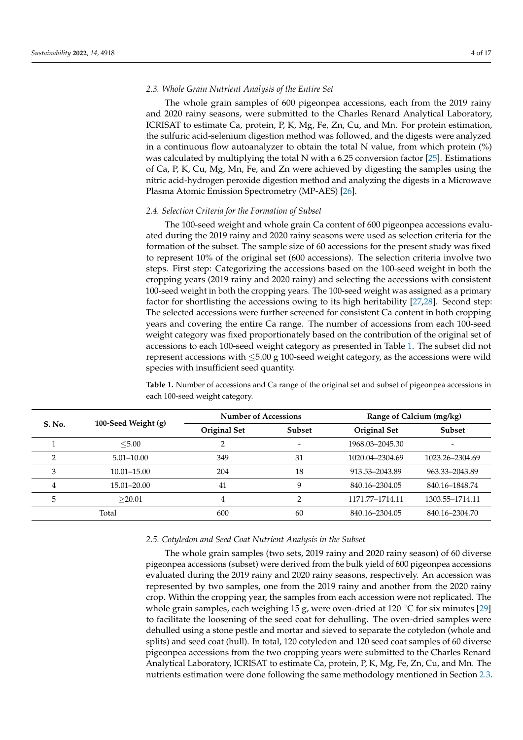## <span id="page-3-1"></span>*2.3. Whole Grain Nutrient Analysis of the Entire Set*

The whole grain samples of 600 pigeonpea accessions, each from the 2019 rainy and 2020 rainy seasons, were submitted to the Charles Renard Analytical Laboratory, ICRISAT to estimate Ca, protein, P, K, Mg, Fe, Zn, Cu, and Mn. For protein estimation, the sulfuric acid-selenium digestion method was followed, and the digests were analyzed in a continuous flow autoanalyzer to obtain the total N value, from which protein  $\%$ ) was calculated by multiplying the total N with a 6.25 conversion factor [\[25\]](#page-14-24). Estimations of Ca, P, K, Cu, Mg, Mn, Fe, and Zn were achieved by digesting the samples using the nitric acid-hydrogen peroxide digestion method and analyzing the digests in a Microwave Plasma Atomic Emission Spectrometry (MP-AES) [\[26\]](#page-14-25).

#### *2.4. Selection Criteria for the Formation of Subset*

The 100-seed weight and whole grain Ca content of 600 pigeonpea accessions evaluated during the 2019 rainy and 2020 rainy seasons were used as selection criteria for the formation of the subset. The sample size of 60 accessions for the present study was fixed to represent 10% of the original set (600 accessions). The selection criteria involve two steps. First step: Categorizing the accessions based on the 100-seed weight in both the cropping years (2019 rainy and 2020 rainy) and selecting the accessions with consistent 100-seed weight in both the cropping years. The 100-seed weight was assigned as a primary factor for shortlisting the accessions owing to its high heritability [\[27,](#page-14-26)[28\]](#page-14-27). Second step: The selected accessions were further screened for consistent Ca content in both cropping years and covering the entire Ca range. The number of accessions from each 100-seed weight category was fixed proportionately based on the contribution of the original set of accessions to each 100-seed weight category as presented in Table [1.](#page-3-0) The subset did not represent accessions with  $\leq$ 5.00 g 100-seed weight category, as the accessions were wild species with insufficient seed quantity.

<span id="page-3-0"></span>**Table 1.** Number of accessions and Ca range of the original set and subset of pigeonpea accessions in each 100-seed weight category.

| <b>S. No.</b>  |                     | <b>Number of Accessions</b> |        | Range of Calcium (mg/kg) |                          |  |  |
|----------------|---------------------|-----------------------------|--------|--------------------------|--------------------------|--|--|
|                | 100-Seed Weight (g) | <b>Original Set</b>         | Subset | Original Set             | Subset                   |  |  |
|                | < 5.00              |                             | ۰      | 1968.03-2045.30          | $\overline{\phantom{0}}$ |  |  |
| ∍              | $5.01 - 10.00$      | 349                         | 31     | 1020.04-2304.69          | 1023.26-2304.69          |  |  |
| 3              | $10.01 - 15.00$     | 204                         | 18     | 913.53-2043.89           | 963.33-2043.89           |  |  |
| $\overline{4}$ | 15.01-20.00         | 41                          | 9      | 840.16-2304.05           | 840.16-1848.74           |  |  |
| 5              | >20.01              | 4                           | ∍      | 1171.77-1714.11          | 1303.55-1714.11          |  |  |
| Total          |                     | 600                         | 60     | 840.16-2304.05           | 840.16-2304.70           |  |  |

## *2.5. Cotyledon and Seed Coat Nutrient Analysis in the Subset*

The whole grain samples (two sets, 2019 rainy and 2020 rainy season) of 60 diverse pigeonpea accessions (subset) were derived from the bulk yield of 600 pigeonpea accessions evaluated during the 2019 rainy and 2020 rainy seasons, respectively. An accession was represented by two samples, one from the 2019 rainy and another from the 2020 rainy crop. Within the cropping year, the samples from each accession were not replicated. The whole grain samples, each weighing 15 g, were oven-dried at 120 °C for six minutes [\[29\]](#page-15-0) to facilitate the loosening of the seed coat for dehulling. The oven-dried samples were dehulled using a stone pestle and mortar and sieved to separate the cotyledon (whole and splits) and seed coat (hull). In total, 120 cotyledon and 120 seed coat samples of 60 diverse pigeonpea accessions from the two cropping years were submitted to the Charles Renard Analytical Laboratory, ICRISAT to estimate Ca, protein, P, K, Mg, Fe, Zn, Cu, and Mn. The nutrients estimation were done following the same methodology mentioned in Section [2.3.](#page-3-1)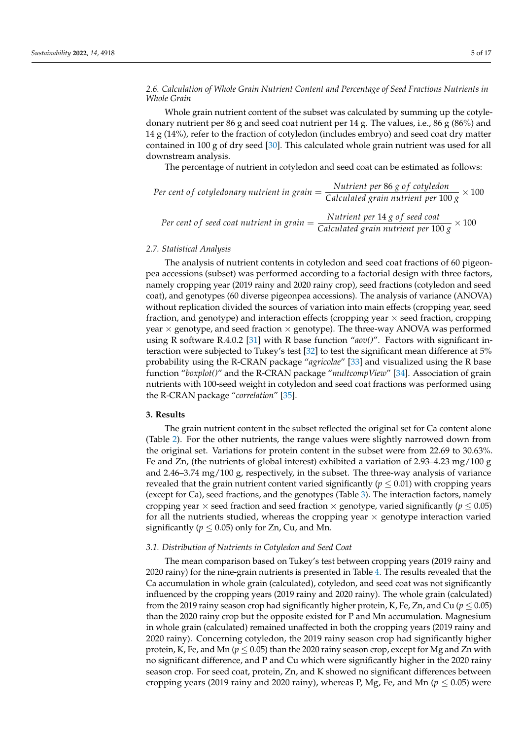# *2.6. Calculation of Whole Grain Nutrient Content and Percentage of Seed Fractions Nutrients in Whole Grain*

Whole grain nutrient content of the subset was calculated by summing up the cotyledonary nutrient per 86 g and seed coat nutrient per 14 g. The values, i.e., 86 g (86%) and 14 g (14%), refer to the fraction of cotyledon (includes embryo) and seed coat dry matter contained in 100 g of dry seed [\[30\]](#page-15-1). This calculated whole grain nutrient was used for all downstream analysis.

The percentage of nutrient in cotyledon and seed coat can be estimated as follows:

Per cent of cotyledonary nutrient in grain = 
$$
\frac{Nutrient per 86 g of cotyledon}{Calculated grain nutrient per 100 g} \times 100
$$
  
 
$$
Nutrient per 14 g of seed coat
$$

*Per cent of seed coat nutrient in grain* = 
$$
\frac{Nutrient per 14 g of seed coat}{Calculated grain nutrient per 100 g} \times 100
$$

## *2.7. Statistical Analysis*

The analysis of nutrient contents in cotyledon and seed coat fractions of 60 pigeonpea accessions (subset) was performed according to a factorial design with three factors, namely cropping year (2019 rainy and 2020 rainy crop), seed fractions (cotyledon and seed coat), and genotypes (60 diverse pigeonpea accessions). The analysis of variance (ANOVA) without replication divided the sources of variation into main effects (cropping year, seed fraction, and genotype) and interaction effects (cropping year  $\times$  seed fraction, cropping year  $\times$  genotype, and seed fraction  $\times$  genotype). The three-way ANOVA was performed using R software R.4.0.2 [\[31\]](#page-15-2) with R base function "*aov()*". Factors with significant interaction were subjected to Tukey's test [\[32\]](#page-15-3) to test the significant mean difference at 5% probability using the R-CRAN package "*agricolae*" [\[33\]](#page-15-4) and visualized using the R base function "*boxplot()*" and the R-CRAN package "*multcompView*" [\[34\]](#page-15-5). Association of grain nutrients with 100-seed weight in cotyledon and seed coat fractions was performed using the R-CRAN package "*correlation*" [\[35\]](#page-15-6).

## **3. Results**

The grain nutrient content in the subset reflected the original set for Ca content alone (Table [2\)](#page-5-0). For the other nutrients, the range values were slightly narrowed down from the original set. Variations for protein content in the subset were from 22.69 to 30.63%. Fe and Zn, (the nutrients of global interest) exhibited a variation of 2.93–4.23 mg/100 g and 2.46–3.74 mg/100 g, respectively, in the subset. The three-way analysis of variance revealed that the grain nutrient content varied significantly ( $p \leq 0.01$ ) with cropping years (except for Ca), seed fractions, and the genotypes (Table [3\)](#page-5-1). The interaction factors, namely cropping year  $\times$  seed fraction and seed fraction  $\times$  genotype, varied significantly ( $p \leq 0.05$ ) for all the nutrients studied, whereas the cropping year  $\times$  genotype interaction varied significantly ( $p \leq 0.05$ ) only for Zn, Cu, and Mn.

## *3.1. Distribution of Nutrients in Cotyledon and Seed Coat*

The mean comparison based on Tukey's test between cropping years (2019 rainy and 2020 rainy) for the nine-grain nutrients is presented in Table [4.](#page-5-2) The results revealed that the Ca accumulation in whole grain (calculated), cotyledon, and seed coat was not significantly influenced by the cropping years (2019 rainy and 2020 rainy). The whole grain (calculated) from the 2019 rainy season crop had significantly higher protein, K, Fe, Zn, and Cu ( $p \le 0.05$ ) than the 2020 rainy crop but the opposite existed for P and Mn accumulation. Magnesium in whole grain (calculated) remained unaffected in both the cropping years (2019 rainy and 2020 rainy). Concerning cotyledon, the 2019 rainy season crop had significantly higher protein, K, Fe, and Mn ( $p \le 0.05$ ) than the 2020 rainy season crop, except for Mg and Zn with no significant difference, and P and Cu which were significantly higher in the 2020 rainy season crop. For seed coat, protein, Zn, and K showed no significant differences between cropping years (2019 rainy and 2020 rainy), whereas P, Mg, Fe, and Mn ( $p \le 0.05$ ) were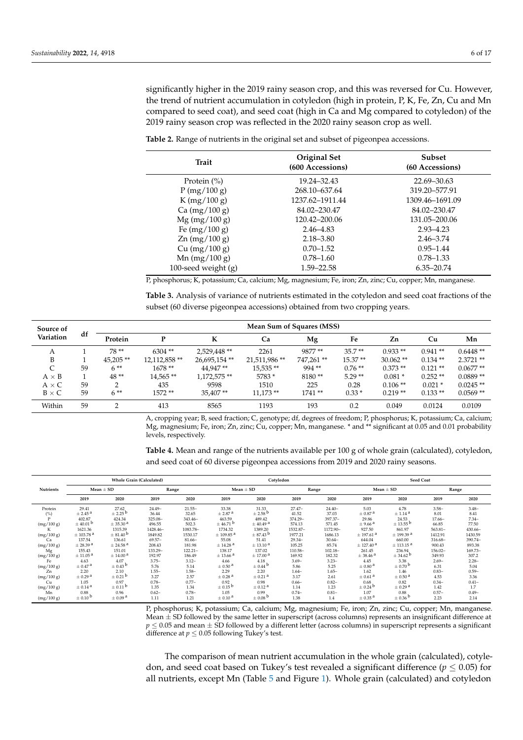significantly higher in the 2019 rainy season crop, and this was reversed for Cu. However, the trend of nutrient accumulation in cotyledon (high in protein, P, K, Fe, Zn, Cu and Mn compared to seed coat), and seed coat (high in Ca and Mg compared to cotyledon) of the 2019 rainy season crop was reflected in the 2020 rainy season crop as well.

| <b>Trait</b>        | Original Set<br>(600 Accessions) | <b>Subset</b><br>(60 Accessions) |  |  |
|---------------------|----------------------------------|----------------------------------|--|--|
| Protein $(\% )$     | 19.24–32.43                      | 22.69–30.63                      |  |  |
| P(mg/100 g)         | 268.10-637.64                    | 319.20-577.91                    |  |  |
| K (mg/100 g)        | 1237.62-1911.44                  | 1309.46-1691.09                  |  |  |
| Ca (mg/100 g)       | 84.02-230.47                     | 84.02-230.47                     |  |  |
| $Mg$ (mg/100 g)     | 120.42–200.06                    | 131.05-200.06                    |  |  |
| Fe $(mg/100 g)$     | 2.46–4.83                        | $2.93 - 4.23$                    |  |  |
| $Zn$ (mg/100 g)     | $2.18 - 3.80$                    | $2.46 - 3.74$                    |  |  |
| Cu (mg/100 g)       | $0.70 - 1.52$                    | $0.95 - 1.44$                    |  |  |
| Mn $(mg/100 g)$     | $0.78 - 1.60$                    | $0.78 - 1.33$                    |  |  |
| 100-seed weight (g) | 1.59–22.58                       | 6.35 - 20.74                     |  |  |

<span id="page-5-0"></span>**Table 2.** Range of nutrients in the original set and subset of pigeonpea accessions.

P, phosphorus; K, potassium; Ca, calcium; Mg, magnesium; Fe, iron; Zn, zinc; Cu, copper; Mn, manganese.

<span id="page-5-1"></span>**Table 3.** Analysis of variance of nutrients estimated in the cotyledon and seed coat fractions of the subset (60 diverse pigeonpea accessions) obtained from two cropping years.

| Source of    |    |            |               |              | Mean Sum of Squares (MSS) |           |           |             |            |            |
|--------------|----|------------|---------------|--------------|---------------------------|-----------|-----------|-------------|------------|------------|
| Variation    | df | Protein    | D             | К            | Ca                        | Mg        | Fe        | Zn          | Cu         | Mn         |
| А            |    | 78 **      | $6304**$      | 2,529,448**  | 2261                      | 9877 **   | $35.7**$  | $0.933**$   | $0.941**$  | $0.6448**$ |
| B            |    | $45.205**$ | 12.112.858 ** | 26,695,154** | 21,511,986**              | 747.261** | $15.37**$ | $30.062$ ** | $0.134$ ** | $2.3721**$ |
| C            | 59 | $6**$      | $1678**$      | 44.947**     | 15,535**                  | $994**$   | $0.76**$  | $0.373**$   | $0.121$ ** | $0.0677**$ |
| $A \times B$ |    | 48**       | 14,565**      | 1,172,575**  | 5783 *                    | 8180**    | $5.29**$  | $0.081*$    | $0.252**$  | $0.0889**$ |
| $A \times C$ | 59 | $\Omega$   | 435           | 9598         | 1510                      | 225       | 0.28      | $0.106**$   | $0.021*$   | $0.0245**$ |
| $B \times C$ | 59 | $6**$      | $1572**$      | 35.407**     | $11,173$ **               | $1741**$  | $0.33*$   | $0.219**$   | $0.133**$  | $0.0569**$ |
| Within       | 59 | $\sim$     | 413           | 8565         | 1193                      | 193       | 0.2       | 0.049       | 0.0124     | 0.0109     |

A, cropping year; B, seed fraction; C, genotype; df, degrees of freedom; P, phosphorus; K, potassium; Ca, calcium; Mg, magnesium; Fe, iron; Zn, zinc; Cu, copper; Mn, manganese. \* and \*\* significant at 0.05 and 0.01 probability levels, respectively.

<span id="page-5-2"></span>**Table 4.** Mean and range of the nutrients available per 100 g of whole grain (calculated), cotyledon, and seed coat of 60 diverse pigeonpea accessions from 2019 and 2020 rainy seasons.

|                  |                           |                          | <b>Whole Grain (Calculated)</b> |            |                           | Cotyledon                |           |            |                           | <b>Seed Coat</b>          |            |          |  |
|------------------|---------------------------|--------------------------|---------------------------------|------------|---------------------------|--------------------------|-----------|------------|---------------------------|---------------------------|------------|----------|--|
| <b>Nutrients</b> | Mean $\pm$ SD             |                          |                                 | Range      |                           | Mean $\pm$ SD            |           | Range      |                           | Mean $\pm$ SD             |            | Range    |  |
|                  | 2019                      | 2020                     | 2019                            | 2020       | 2019                      | 2020                     | 2019      | 2020       | 2019                      | 2020                      | 2019       | 2020     |  |
| Protein          | 29.41                     | 27.62                    | $24.49-$                        | $21.55 -$  | 33.38                     | 31.33                    | $27.47-$  | $24.40-$   | 5.03                      | 4.78                      | $3.58-$    | $3.48-$  |  |
| (%)              | $± 2.45$ <sup>a</sup>     | $\pm 2.25^{b}$           | 36.44                           | 32.65      | $\pm 2.87$ <sup>a</sup>   | $\pm 2.58^{b}$           | 41.52     | 37.03      | $\pm 0.87$ <sup>a</sup>   | $\pm$ 1.14 <sup>a</sup>   | 8.01       | 8.41     |  |
| D                | 402.87                    | 424.34                   | 325.08-                         | $343.46-$  | 463.59                    | 489.42                   | 374.29-   | 397.37-    | 29.86                     | 24.53                     | $17.66 -$  | $7.34-$  |  |
| (mg/100 g)       | $\pm$ 40.01 <sup>b</sup>  | $\pm$ 35.30 $^{\rm a}$   | 496.55                          | 502.3      | $\pm$ 46.71 $^{\rm b}$    | $\pm$ 40.49 <sup>a</sup> | 574.13    | 571.45     | $\pm$ 9.66 $^{\rm a}$     | $\pm$ 13.55 <sup>b</sup>  | 66.85      | 77.50    |  |
|                  | 1621.36                   | 1315.39                  | 1428.46-                        | 1083.78-   | 1734.32                   | 1389.20                  | 1532.87-  | 1172.90-   | 927.50                    | 861.97                    | $563.81-$  | 430.66-  |  |
| (mg/100 g)       | $\pm$ 103.78 <sup>a</sup> | $\pm$ 81.40 <sup>b</sup> | 1849.82                         | 1530.17    | $\pm$ 109.85 <sup>a</sup> | $\pm$ 87.43 <sup>b</sup> | 1977.21   | 1686.13    | $\pm$ 197.61 <sup>a</sup> | $\pm$ 199.39 a            | 1412.91    | 1430.59  |  |
| Ca               | 137.54                    | 136.61                   | $69.57-$                        | $81.66 -$  | 55.08                     | 51.41                    | $29.34 -$ | $30.64 -$  | 644.04                    | 660.00                    | $316.68 -$ | 390.74-  |  |
| (mg/100 g)       | $\pm 28.39$ <sup>a</sup>  | $\pm 24.58$ <sup>a</sup> | 208.43                          | 181.98     | $\pm$ 14.28 <sup>a</sup>  | $\pm$ 13.10 <sup>a</sup> | 105.25    | 85.74      | $\pm$ 127.40 $^{\rm a}$   | $\pm$ 113.15 <sup>a</sup> | 900.43     | 893.38   |  |
| Mg               | 155.43                    | 151.01                   | 133.29-                         | $122.21 -$ | 138.17                    | 137.02                   | 110.58-   | $102.18 -$ | 261.45                    | 236.94                    | $156.02 -$ | 169.73-  |  |
| (mg/100 g)       | $\pm$ 11.05 <sup>a</sup>  | $\pm$ 14.00 $^{\rm a}$   | 192.97                          | 186.49     | $\pm$ 13.66 <sup>a</sup>  | $\pm$ 17.00 $^{\rm a}$   | 169.92    | 182.32     | $\pm$ 38.46 <sup>a</sup>  | $\pm$ 34.62 <sup>b</sup>  | 349.93     | 307.2    |  |
| Fe               | 4.63                      | 4.07                     | $3.75-$                         | $3.12-$    | 4.66                      | 4.18                     | $3.69-$   | $3.23 -$   | 4.45                      | 3.38                      | $2.69-$    | $2.28 -$ |  |
| (mg/100 g)       | $\pm 0.47$ <sup>a</sup>   | $\pm 0.43^{b}$           | 5.76                            | 5.14       | $\pm$ 0.50 $^{\rm a}$     | $\pm 0.44^{b}$           | 5.86      | 5.25       | $\pm 0.80^{\text{ a}}$    | $\pm 0.70^{b}$            | 6.31       | 5.04     |  |
| Zn               | 2.20                      | 2.10                     | $1.55-$                         | $1.58 -$   | 2.29                      | 2.20                     | $1.64-$   | $1.65 -$   | 1.62                      | 1.46                      | $0.83 -$   | $0.59 -$ |  |
| (mg/100 g)       | $\pm 0.29$ <sup>a</sup>   | $\pm$ 0.21 <sup>b</sup>  | 3.27                            | 2.57       | $\pm$ 0.28 <sup>a</sup>   | $\pm 0.21$ <sup>a</sup>  | 3.17      | 2.61       | $\pm 0.61$ <sup>a</sup>   | $\pm 0.50^{\text{a}}$     | 4.53       | 3.36     |  |
| Cu               | 1.05                      | 0.97                     | $0.78 -$                        | $0.77-$    | 0.92                      | 0.98                     | $0.66-$   | $0.82 -$   | 0.68                      | 0.82                      | $0.34-$    | $0.41 -$ |  |
| (mg/100 g)       | $\pm 0.14$ <sup>a</sup>   | $\pm 0.11^{b}$           | 1.35                            | 1.34       | $\pm$ 0.15 <sup>b</sup>   | $\pm$ 0.12 <sup>a</sup>  | 1.14      | 1.23       | $\pm 0.24^{b}$            | $\pm$ 0.29 <sup>a</sup>   | 1.42       | 1.7      |  |
| Mn               | 0.88                      | 0.96                     | $0.62 -$                        | $0.78 -$   | 1.05                      | 0.99                     | $0.74 -$  | $0.81 -$   | 1.07                      | 0.88                      | $0.57 -$   | $0.49 -$ |  |
| (mg/100 g)       | $\pm 0.10^{b}$            | $\pm 0.09$ <sup>a</sup>  | 1.11                            | 1.21       | $\pm$ 0.10 a              | $\pm 0.08^{b}$           | 1.38      | 1.4        | $\pm$ 0.35 a              | $\pm 0.36^{\circ}$        | 2.23       | 2.14     |  |

P, phosphorus; K, potassium; Ca, calcium; Mg, magnesium; Fe, iron; Zn, zinc; Cu, copper; Mn, manganese. Mean  $\pm$  SD followed by the same letter in superscript (across columns) represents an insignificant difference at  $p \leq 0.05$  and mean  $\pm$  SD followed by a different letter (across columns) in superscript represents a significant difference at  $p \leq 0.05$  following Tukey's test.

The comparison of mean nutrient accumulation in the whole grain (calculated), cotyledon, and seed coat based on Tukey's test revealed a significant difference ( $p \leq 0.05$ ) for all nutrients, except Mn (Table [5](#page-6-0) and Figure [1\)](#page-8-0). Whole grain (calculated) and cotyledon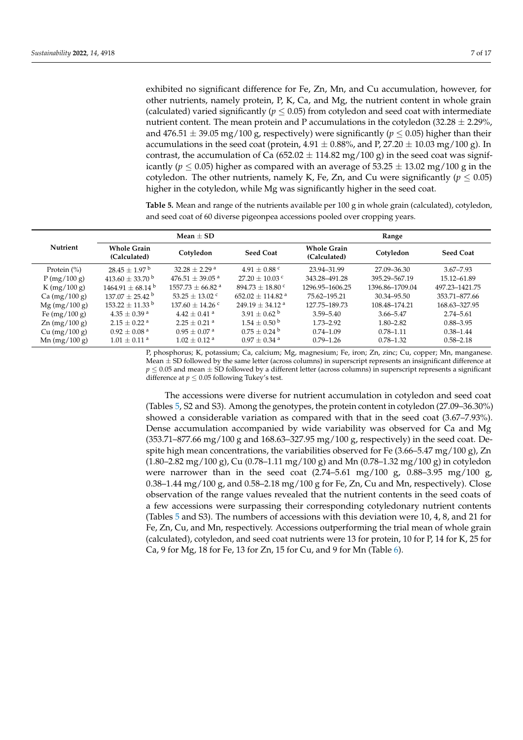exhibited no significant difference for Fe, Zn, Mn, and Cu accumulation, however, for other nutrients, namely protein, P, K, Ca, and Mg, the nutrient content in whole grain (calculated) varied significantly ( $p \leq 0.05$ ) from cotyledon and seed coat with intermediate nutrient content. The mean protein and P accumulations in the cotyledon  $(32.28 \pm 2.29)$ %, and 476.51  $\pm$  39.05 mg/100 g, respectively) were significantly ( $p \le 0.05$ ) higher than their accumulations in the seed coat (protein,  $4.91 \pm 0.88\%$ , and P, 27.20  $\pm 10.03$  mg/100 g). In contrast, the accumulation of Ca (652.02  $\pm$  114.82 mg/100 g) in the seed coat was significantly ( $p \le 0.05$ ) higher as compared with an average of 53.25  $\pm$  13.02 mg/100 g in the cotyledon. The other nutrients, namely K, Fe, Zn, and Cu were significantly ( $p \leq 0.05$ ) higher in the cotyledon, while Mg was significantly higher in the seed coat.

<span id="page-6-0"></span>**Table 5.** Mean and range of the nutrients available per 100 g in whole grain (calculated), cotyledon, and seed coat of 60 diverse pigeonpea accessions pooled over cropping years.

|                        |                                    | Mean $\pm$ SD                   |                                | Range                              |                 |                  |  |  |
|------------------------|------------------------------------|---------------------------------|--------------------------------|------------------------------------|-----------------|------------------|--|--|
| <b>Nutrient</b>        | <b>Whole Grain</b><br>(Calculated) | Cotyledon                       | <b>Seed Coat</b>               | <b>Whole Grain</b><br>(Calculated) | Cotyledon       | <b>Seed Coat</b> |  |  |
| Protein $(\%)$         | $28.45 + 1.97^{\mathrm{b}}$        | $32.28 + 2.29$ <sup>a</sup>     | $4.91 + 0.88$ c                | 23.94-31.99                        | 27.09–36.30     | $3.67 - 7.93$    |  |  |
| P(mg/100 g)            | $413.60 + 33.70^{\mathrm{b}}$      | $476.51 \pm 39.05$ <sup>a</sup> | $27.20 + 10.03$ c              | 343.28-491.28                      | 395.29 - 567.19 | 15.12-61.89      |  |  |
| K (mg/100 g)           | $1464.91 + 68.14^{\text{ b}}$      | $1557.73 + 66.82$ <sup>a</sup>  | $894.73 + 18.80$ °             | 1296.95-1606.25                    | 1396.86-1709.04 | 497.23-1421.75   |  |  |
| Ca (mg/100 g)          | $137.07 + 25.42^{\mathrm{b}}$      | $53.25 + 13.02$ c               | $652.02 + 114.82$ <sup>a</sup> | 75.62-195.21                       | 30.34-95.50     | 353.71-877.66    |  |  |
| $Mg$ (mg/100 g)        | $153.22 \pm 11.33$ b               | $137.60 + 14.26$ <sup>c</sup>   | $249.19 + 34.12$ <sup>a</sup>  | 127.75-189.73                      | 108.48-174.21   | 168.63-327.95    |  |  |
| Fe $(mg/100 g)$        | $4.35 + 0.39$ <sup>a</sup>         | $4.42 + 0.41$ <sup>a</sup>      | $3.91 \pm 0.62^{\circ}$        | $3.59 - 5.40$                      | $3.66 - 5.47$   | $2.74 - 5.61$    |  |  |
| $\text{Zn (mg/100 g)}$ | $2.15 + 0.22$ <sup>a</sup>         | $2.25 + 0.21$ <sup>a</sup>      | $1.54 + 0.50^{\circ}$          | $1.73 - 2.92$                      | $1.80 - 2.82$   | $0.88 - 3.95$    |  |  |
| Cu (mg/100 g)          | $0.92 + 0.08$ <sup>a</sup>         | $0.95 + 0.07$ <sup>a</sup>      | $0.75 + 0.24$ <sup>b</sup>     | $0.74 - 1.09$                      | $0.78 - 1.11$   | $0.38 - 1.44$    |  |  |
| Mn $(mg/100 g)$        | $1.01 \pm 0.11$ <sup>a</sup>       | $1.02 \pm 0.12$ <sup>a</sup>    | $0.97 \pm 0.34$ <sup>a</sup>   | $0.79 - 1.26$                      | $0.78 - 1.32$   | $0.58 - 2.18$    |  |  |

P, phosphorus; K, potassium; Ca, calcium; Mg, magnesium; Fe, iron; Zn, zinc; Cu, copper; Mn, manganese. Mean  $\pm$  SD followed by the same letter (across columns) in superscript represents an insignificant difference at  $p \le 0.05$  and mean  $\pm$  SD followed by a different letter (across columns) in superscript represents a significant difference at  $p \leq 0.05$  following Tukey's test.

The accessions were diverse for nutrient accumulation in cotyledon and seed coat (Tables [5,](#page-6-0) S2 and S3). Among the genotypes, the protein content in cotyledon (27.09–36.30%) showed a considerable variation as compared with that in the seed coat (3.67–7.93%). Dense accumulation accompanied by wide variability was observed for Ca and Mg (353.71–877.66 mg/100 g and 168.63–327.95 mg/100 g, respectively) in the seed coat. Despite high mean concentrations, the variabilities observed for Fe  $(3.66-5.47 \text{ mg}/100 \text{ g})$ , Zn  $(1.80-2.82 \text{ mg}/100 \text{ g})$ , Cu  $(0.78-1.11 \text{ mg}/100 \text{ g})$  and Mn  $(0.78-1.32 \text{ mg}/100 \text{ g})$  in cotyledon were narrower than in the seed coat  $(2.74 - 5.61 \text{ mg}/100 \text{ g}, 0.88 - 3.95 \text{ mg}/100 \text{ g},$ 0.38–1.44 mg/100 g, and 0.58–2.18 mg/100 g for Fe, Zn, Cu and Mn, respectively). Close observation of the range values revealed that the nutrient contents in the seed coats of a few accessions were surpassing their corresponding cotyledonary nutrient contents (Tables [5](#page-6-0) and S3). The numbers of accessions with this deviation were 10, 4, 8, and 21 for Fe, Zn, Cu, and Mn, respectively. Accessions outperforming the trial mean of whole grain (calculated), cotyledon, and seed coat nutrients were 13 for protein, 10 for P, 14 for K, 25 for Ca, 9 for Mg, 18 for Fe, 13 for Zn, 15 for Cu, and 9 for Mn (Table [6\)](#page-8-1).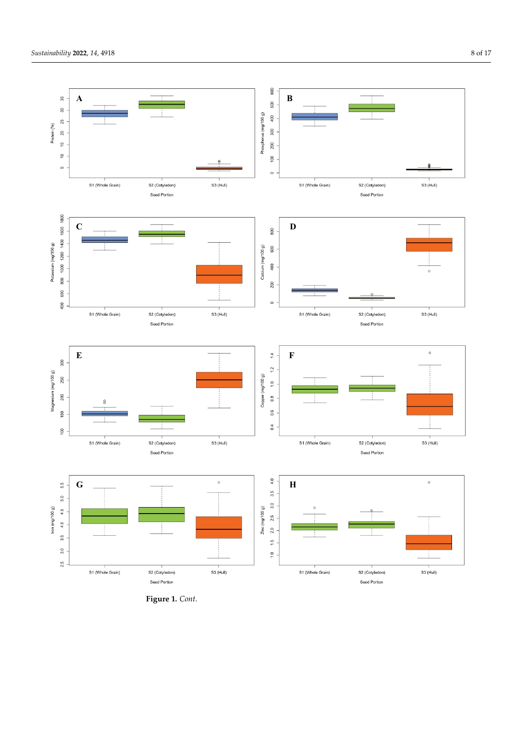

**Figure 1.** *Cont*.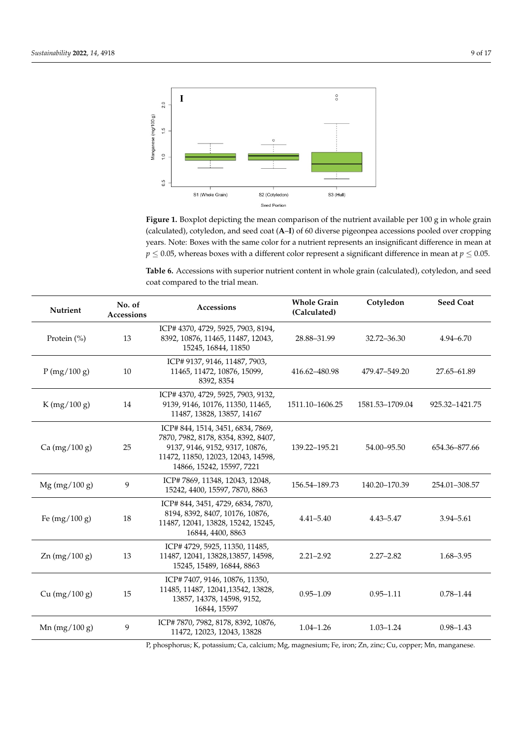<span id="page-8-0"></span>

(calculated), cotyledon, and seed coat (A–I) of 60 diverse pigeonpea accessions pooled over cropping years. Note: Boxes with the same color for a nutrient represents an insignificant difference in mean at  $p \le 0.05$ , whereas boxes with a different color represent a significant difference in mean at  $p \le 0.05$ . Figure 1. Boxplot depicting the mean comparison of the nutrient available per 100 g in whole grain

<span id="page-8-1"></span>mean at *p* ≤ 0.05, whereas boxes with a different color represent a significant difference in mean at *p* **Table 6.** Accessions with superior nutrient content in whole grain (calculated), cotyledon, and seed coat compared to the trial mean.

| Nutrient        | No. of<br>Accessions<br><b>Accessions</b> |                                                                                                                                                                              | <b>Whole Grain</b><br>(Calculated) | Cotyledon       | <b>Seed Coat</b> |
|-----------------|-------------------------------------------|------------------------------------------------------------------------------------------------------------------------------------------------------------------------------|------------------------------------|-----------------|------------------|
| Protein (%)     | 13                                        | ICP# 4370, 4729, 5925, 7903, 8194,<br>8392, 10876, 11465, 11487, 12043,<br>15245, 16844, 11850                                                                               | 28.88-31.99                        | 32.72-36.30     | $4.94 - 6.70$    |
| P(mg/100 g)     | 10                                        | ICP# 9137, 9146, 11487, 7903,<br>11465, 11472, 10876, 15099,<br>8392, 8354                                                                                                   | 416.62-480.98                      | 479.47-549.20   | 27.65-61.89      |
| K (mg/100 g)    | 14                                        | ICP# 4370, 4729, 5925, 7903, 9132,<br>9139, 9146, 10176, 11350, 11465,<br>11487, 13828, 13857, 14167                                                                         | 1511.10-1606.25                    | 1581.53-1709.04 | 925.32-1421.75   |
| Ca $(mg/100 g)$ | 25                                        | ICP#844, 1514, 3451, 6834, 7869,<br>7870, 7982, 8178, 8354, 8392, 8407,<br>9137, 9146, 9152, 9317, 10876,<br>11472, 11850, 12023, 12043, 14598,<br>14866, 15242, 15597, 7221 | 139.22-195.21                      | 54.00 - 95.50   | 654.36-877.66    |
| $Mg$ (mg/100 g) | 9                                         | ICP#7869, 11348, 12043, 12048,<br>15242, 4400, 15597, 7870, 8863                                                                                                             | 156.54-189.73                      | 140.20-170.39   | 254.01-308.57    |
| Fe $(mg/100 g)$ | 18                                        | ICP#844, 3451, 4729, 6834, 7870,<br>8194, 8392, 8407, 10176, 10876,<br>11487, 12041, 13828, 15242, 15245,<br>16844, 4400, 8863                                               | $4.41 - 5.40$                      | $4.43 - 5.47$   | $3.94 - 5.61$    |
| $Zn$ (mg/100 g) | 13                                        | ICP# 4729, 5925, 11350, 11485,<br>11487, 12041, 13828, 13857, 14598,<br>15245, 15489, 16844, 8863                                                                            | $2.21 - 2.92$                      | $2.27 - 2.82$   | $1.68 - 3.95$    |
| Cu $(mg/100 g)$ | 15                                        | ICP#7407, 9146, 10876, 11350,<br>11485, 11487, 12041, 13542, 13828,<br>13857, 14378, 14598, 9152,<br>16844, 15597                                                            | $0.95 - 1.09$                      | $0.95 - 1.11$   | $0.78 - 1.44$    |
| Mn $(mg/100 g)$ | 9                                         | ICP#7870, 7982, 8178, 8392, 10876,<br>11472, 12023, 12043, 13828                                                                                                             | $1.04 - 1.26$                      | $1.03 - 1.24$   | $0.98 - 1.43$    |

8392, 8326, 8326, 9137, 9326, 93326<br>P, phosphorus; K, potassium; Ca, calcium; Mg, magnesium; Fe, iron; Zn, zinc; C  $\frac{1}{21}$ P, phosphorus; K, potassium; Ca, calcium; Mg, magnesium; Fe, iron; Zn, zinc; Cu, copper; Mn, manganese.<br>.  $\mathbb{R}^3$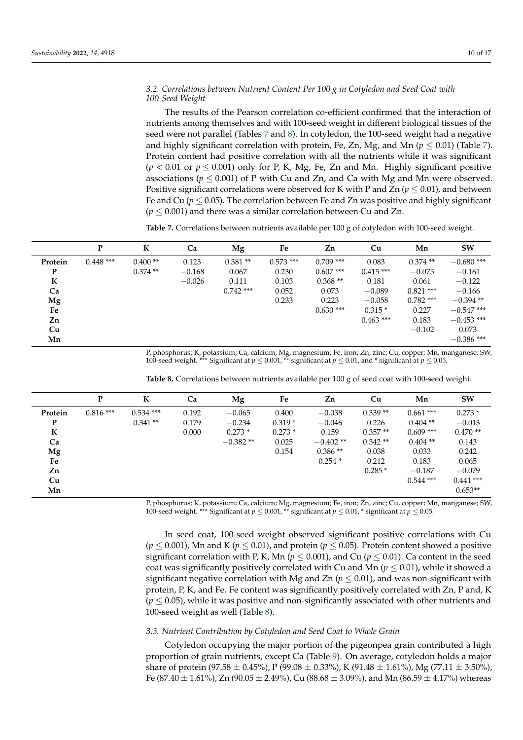# *3.2. Correlations between Nutrient Content Per 100 g in Cotyledon and Seed Coat with 100-Seed Weight*

The results of the Pearson correlation co-efficient confirmed that the interaction of nutrients among themselves and with 100-seed weight in different biological tissues of the seed were not parallel (Tables [7](#page-9-0) and [8\)](#page-9-1). In cotyledon, the 100-seed weight had a negative and highly significant correlation with protein, Fe, Zn, Mg, and Mn ( $p \le 0.01$ ) (Table [7\)](#page-9-0). Protein content had positive correlation with all the nutrients while it was significant  $(p < 0.01$  or  $p \le 0.001$ ) only for P, K, Mg, Fe, Zn and Mn. Highly significant positive associations ( $p \leq 0.001$ ) of P with Cu and Zn, and Ca with Mg and Mn were observed. Positive significant correlations were observed for K with P and Zn ( $p < 0.01$ ), and between Fe and Cu ( $p \leq 0.05$ ). The correlation between Fe and Zn was positive and highly significant  $(p \leq 0.001)$  and there was a similar correlation between Cu and Zn.

<span id="page-9-0"></span>**Table 7.** Correlations between nutrients available per 100 g of cotyledon with 100-seed weight.

|         | P          | K         | Ca       | Mg          | Fe          | Zn          | Cu          | Mn          | <b>SW</b>    |
|---------|------------|-----------|----------|-------------|-------------|-------------|-------------|-------------|--------------|
| Protein | $0.448***$ | $0.400**$ | 0.123    | $0.381**$   | $0.573$ *** | $0.709$ *** | 0.083       | $0.374**$   | $-0.680$ *** |
| P       |            | $0.374**$ | $-0.168$ | 0.067       | 0.230       | $0.607$ *** | $0.415***$  | $-0.075$    | $-0.161$     |
| K       |            |           | $-0.026$ | 0.111       | 0.103       | $0.368**$   | 0.181       | 0.061       | $-0.122$     |
| Ca      |            |           |          | $0.742$ *** | 0.052       | 0.073       | $-0.089$    | $0.821$ *** | $-0.166$     |
| Mg      |            |           |          |             | 0.233       | 0.223       | $-0.058$    | $0.782$ *** | $-0.394**$   |
| Fe      |            |           |          |             |             | $0.630$ *** | $0.315*$    | 0.227       | $-0.547$ *** |
| Zn      |            |           |          |             |             |             | $0.463$ *** | 0.183       | $-0.453$ *** |
| Cu      |            |           |          |             |             |             |             | $-0.102$    | 0.073        |
| Mn      |            |           |          |             |             |             |             |             | $-0.386$ *** |

P, phosphorus; K, potassium; Ca, calcium; Mg, magnesium; Fe, iron; Zn, zinc; Cu, copper; Mn, manganese; SW, 100-seed weight. \*\*\* Significant at *p* ≤ 0.001, \*\* significant at *p* ≤ 0.01, and \* significant at *p* ≤ 0.05.

|         | P          | K           | Ca    | Mg         | Fe       | Zn         | Cu        | Mn          | <b>SW</b>   |
|---------|------------|-------------|-------|------------|----------|------------|-----------|-------------|-------------|
| Protein | $0.816***$ | $0.534$ *** | 0.192 | $-0.065$   | 0.400    | $-0.038$   | $0.339**$ | $0.661$ *** | $0.273*$    |
| P       |            | $0.341**$   | 0.179 | $-0.234$   | $0.319*$ | $-0.046$   | 0.226     | $0.404$ **  | $-0.013$    |
| K       |            |             | 0.000 | $0.273*$   | $0.273*$ | 0.159      | $0.357**$ | $0.609$ *** | $0.470**$   |
| Ca      |            |             |       | $-0.382**$ | 0.025    | $-0.402**$ | $0.342**$ | $0.404$ **  | 0.143       |
| Mg      |            |             |       |            | 0.154    | $0.386**$  | 0.038     | 0.033       | 0.242       |
| Fe      |            |             |       |            |          | $0.254*$   | 0.212     | 0.183       | 0.065       |
| Zn      |            |             |       |            |          |            | $0.285*$  | $-0.187$    | $-0.079$    |
| Cu      |            |             |       |            |          |            |           | $0.544$ *** | $0.441$ *** |
| Mn      |            |             |       |            |          |            |           |             | $0.653**$   |

<span id="page-9-1"></span>**Table 8.** Correlations between nutrients available per 100 g of seed coat with 100-seed weight.

P, phosphorus; K, potassium; Ca, calcium; Mg, magnesium; Fe, iron; Zn, zinc; Cu, copper; Mn, manganese; SW, 100-seed weight. \*\*\* Significant at  $p \leq 0.001$ , \*\* significant at  $p \leq 0.01$ , \* significant at  $p \leq 0.05$ .

In seed coat, 100-seed weight observed significant positive correlations with Cu  $(p \le 0.001)$ , Mn and K ( $p \le 0.01$ ), and protein ( $p \le 0.05$ ). Protein content showed a positive significant correlation with P, K, Mn ( $p \le 0.001$ ), and Cu ( $p \le 0.01$ ). Ca content in the seed coat was significantly positively correlated with Cu and Mn ( $p \leq 0.01$ ), while it showed a significant negative correlation with Mg and Zn  $(p \leq 0.01)$ , and was non-significant with protein, P, K, and Fe. Fe content was significantly positively correlated with Zn, P and, K  $(p \leq 0.05)$ , while it was positive and non-significantly associated with other nutrients and 100-seed weight as well (Table [8\)](#page-9-1).

## *3.3. Nutrient Contribution by Cotyledon and Seed Coat to Whole Grain*

Cotyledon occupying the major portion of the pigeonpea grain contributed a high proportion of grain nutrients, except Ca (Table [9\)](#page-10-0). On average, cotyledon holds a major share of protein (97.58  $\pm$  0.45%), P (99.08  $\pm$  0.33%), K (91.48  $\pm$  1.61%), Mg (77.11  $\pm$  3.50%), Fe (87.40  $\pm$  1.61%), Zn (90.05  $\pm$  2.49%), Cu (88.68  $\pm$  3.09%), and Mn (86.59  $\pm$  4.17%) whereas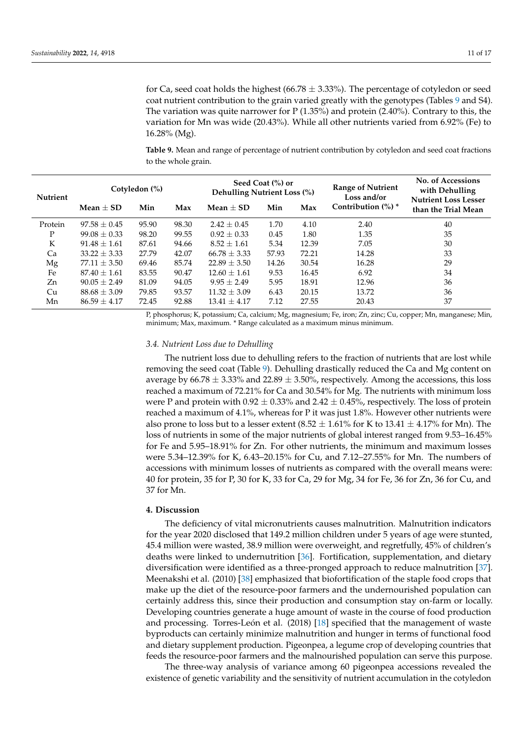for Ca, seed coat holds the highest (66.78  $\pm$  3.33%). The percentage of cotyledon or seed coat nutrient contribution to the grain varied greatly with the genotypes (Tables [9](#page-10-0) and S4). The variation was quite narrower for  $P(1.35%)$  and protein  $(2.40%)$ . Contrary to this, the variation for Mn was wide (20.43%). While all other nutrients varied from 6.92% (Fe) to 16.28% (Mg).

<span id="page-10-0"></span>**Table 9.** Mean and range of percentage of nutrient contribution by cotyledon and seed coat fractions to the whole grain.

| <b>Nutrient</b> | Cotyledon (%)      |       |       | <b>Dehulling Nutrient Loss (%)</b> | Seed Coat (%) or |       | <b>Range of Nutrient</b><br>Loss and/or | No. of Accessions<br>with Dehulling<br><b>Nutrient Loss Lesser</b> |
|-----------------|--------------------|-------|-------|------------------------------------|------------------|-------|-----------------------------------------|--------------------------------------------------------------------|
|                 | Min<br>Mean $+$ SD |       | Max   | Mean $+$ SD                        | Min<br>Max       |       | Contribution $(\%)$ *                   | than the Trial Mean                                                |
| Protein         | $97.58 + 0.45$     | 95.90 | 98.30 | $2.42 + 0.45$                      | 1.70             | 4.10  | 2.40                                    | 40                                                                 |
| Ρ               | $99.08 \pm 0.33$   | 98.20 | 99.55 | $0.92 + 0.33$                      | 0.45             | 1.80  | 1.35                                    | 35                                                                 |
| К               | $91.48 + 1.61$     | 87.61 | 94.66 | $8.52 + 1.61$                      | 5.34             | 12.39 | 7.05                                    | 30                                                                 |
| Ca              | $33.22 \pm 3.33$   | 27.79 | 42.07 | $66.78 \pm 3.33$                   | 57.93            | 72.21 | 14.28                                   | 33                                                                 |
| Mg              | $77.11 \pm 3.50$   | 69.46 | 85.74 | $22.89 + 3.50$                     | 14.26            | 30.54 | 16.28                                   | 29                                                                 |
| Fe              | $87.40 \pm 1.61$   | 83.55 | 90.47 | $12.60 \pm 1.61$                   | 9.53             | 16.45 | 6.92                                    | 34                                                                 |
| Zn              | $90.05 + 2.49$     | 81.09 | 94.05 | $9.95 + 2.49$                      | 5.95             | 18.91 | 12.96                                   | 36                                                                 |
| Cu              | $88.68 \pm 3.09$   | 79.85 | 93.57 | $11.32 \pm 3.09$                   | 6.43             | 20.15 | 13.72                                   | 36                                                                 |
| Mn              | $86.59 \pm 4.17$   | 72.45 | 92.88 | $13.41 \pm 4.17$                   | 7.12             | 27.55 | 20.43                                   | 37                                                                 |

P, phosphorus; K, potassium; Ca, calcium; Mg, magnesium; Fe, iron; Zn, zinc; Cu, copper; Mn, manganese; Min, minimum; Max, maximum. \* Range calculated as a maximum minus minimum.

# *3.4. Nutrient Loss due to Dehulling*

The nutrient loss due to dehulling refers to the fraction of nutrients that are lost while removing the seed coat (Table [9\)](#page-10-0). Dehulling drastically reduced the Ca and Mg content on average by 66.78  $\pm$  3.33% and 22.89  $\pm$  3.50%, respectively. Among the accessions, this loss reached a maximum of 72.21% for Ca and 30.54% for Mg. The nutrients with minimum loss were P and protein with  $0.92 \pm 0.33\%$  and  $2.42 \pm 0.45\%$ , respectively. The loss of protein reached a maximum of 4.1%, whereas for P it was just 1.8%. However other nutrients were also prone to loss but to a lesser extent  $(8.52 \pm 1.61\%$  for K to  $13.41 \pm 4.17\%$  for Mn). The loss of nutrients in some of the major nutrients of global interest ranged from 9.53–16.45% for Fe and 5.95–18.91% for Zn. For other nutrients, the minimum and maximum losses were 5.34–12.39% for K, 6.43–20.15% for Cu, and 7.12–27.55% for Mn. The numbers of accessions with minimum losses of nutrients as compared with the overall means were: 40 for protein, 35 for P, 30 for K, 33 for Ca, 29 for Mg, 34 for Fe, 36 for Zn, 36 for Cu, and 37 for Mn.

## **4. Discussion**

The deficiency of vital micronutrients causes malnutrition. Malnutrition indicators for the year 2020 disclosed that 149.2 million children under 5 years of age were stunted, 45.4 million were wasted, 38.9 million were overweight, and regretfully, 45% of children's deaths were linked to undernutrition [\[36\]](#page-15-7). Fortification, supplementation, and dietary diversification were identified as a three-pronged approach to reduce malnutrition [\[37\]](#page-15-8). Meenakshi et al. (2010) [\[38\]](#page-15-9) emphasized that biofortification of the staple food crops that make up the diet of the resource-poor farmers and the undernourished population can certainly address this, since their production and consumption stay on-farm or locally. Developing countries generate a huge amount of waste in the course of food production and processing. Torres-León et al. (2018) [\[18\]](#page-14-17) specified that the management of waste byproducts can certainly minimize malnutrition and hunger in terms of functional food and dietary supplement production. Pigeonpea, a legume crop of developing countries that feeds the resource-poor farmers and the malnourished population can serve this purpose.

The three-way analysis of variance among 60 pigeonpea accessions revealed the existence of genetic variability and the sensitivity of nutrient accumulation in the cotyledon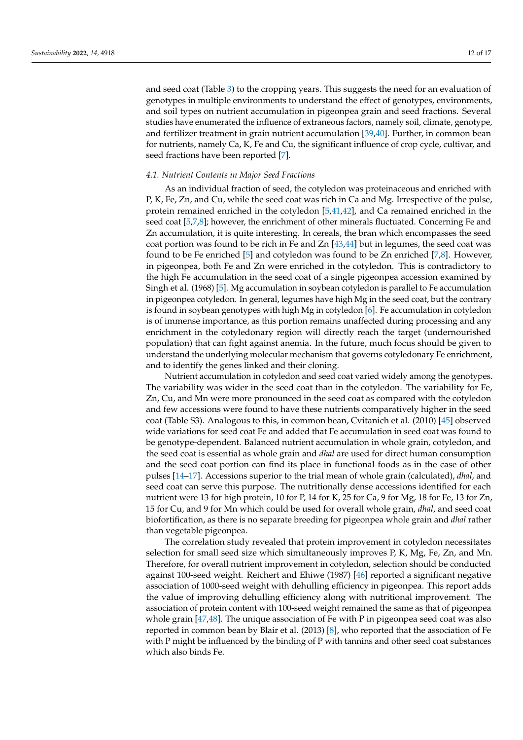and seed coat (Table [3\)](#page-5-1) to the cropping years. This suggests the need for an evaluation of genotypes in multiple environments to understand the effect of genotypes, environments, and soil types on nutrient accumulation in pigeonpea grain and seed fractions. Several studies have enumerated the influence of extraneous factors, namely soil, climate, genotype, and fertilizer treatment in grain nutrient accumulation [\[39](#page-15-10)[,40\]](#page-15-11). Further, in common bean for nutrients, namely Ca, K, Fe and Cu, the significant influence of crop cycle, cultivar, and seed fractions have been reported [\[7\]](#page-14-6).

## *4.1. Nutrient Contents in Major Seed Fractions*

As an individual fraction of seed, the cotyledon was proteinaceous and enriched with P, K, Fe, Zn, and Cu, while the seed coat was rich in Ca and Mg. Irrespective of the pulse, protein remained enriched in the cotyledon [\[5,](#page-14-4)[41,](#page-15-12)[42\]](#page-15-13), and Ca remained enriched in the seed coat [\[5](#page-14-4)[,7](#page-14-6)[,8\]](#page-14-7); however, the enrichment of other minerals fluctuated. Concerning Fe and Zn accumulation, it is quite interesting. In cereals, the bran which encompasses the seed coat portion was found to be rich in Fe and Zn [\[43,](#page-15-14)[44\]](#page-15-15) but in legumes, the seed coat was found to be Fe enriched [\[5\]](#page-14-4) and cotyledon was found to be Zn enriched [\[7](#page-14-6)[,8\]](#page-14-7). However, in pigeonpea, both Fe and Zn were enriched in the cotyledon. This is contradictory to the high Fe accumulation in the seed coat of a single pigeonpea accession examined by Singh et al. (1968) [\[5\]](#page-14-4). Mg accumulation in soybean cotyledon is parallel to Fe accumulation in pigeonpea cotyledon. In general, legumes have high Mg in the seed coat, but the contrary is found in soybean genotypes with high Mg in cotyledon [\[6\]](#page-14-5). Fe accumulation in cotyledon is of immense importance, as this portion remains unaffected during processing and any enrichment in the cotyledonary region will directly reach the target (undernourished population) that can fight against anemia. In the future, much focus should be given to understand the underlying molecular mechanism that governs cotyledonary Fe enrichment, and to identify the genes linked and their cloning.

Nutrient accumulation in cotyledon and seed coat varied widely among the genotypes. The variability was wider in the seed coat than in the cotyledon. The variability for Fe, Zn, Cu, and Mn were more pronounced in the seed coat as compared with the cotyledon and few accessions were found to have these nutrients comparatively higher in the seed coat (Table S3). Analogous to this, in common bean, Cvitanich et al. (2010) [\[45\]](#page-15-16) observed wide variations for seed coat Fe and added that Fe accumulation in seed coat was found to be genotype-dependent. Balanced nutrient accumulation in whole grain, cotyledon, and the seed coat is essential as whole grain and *dhal* are used for direct human consumption and the seed coat portion can find its place in functional foods as in the case of other pulses [\[14–](#page-14-13)[17\]](#page-14-16). Accessions superior to the trial mean of whole grain (calculated), *dhal*, and seed coat can serve this purpose. The nutritionally dense accessions identified for each nutrient were 13 for high protein, 10 for P, 14 for K, 25 for Ca, 9 for Mg, 18 for Fe, 13 for Zn, 15 for Cu, and 9 for Mn which could be used for overall whole grain, *dhal*, and seed coat biofortification, as there is no separate breeding for pigeonpea whole grain and *dhal* rather than vegetable pigeonpea.

The correlation study revealed that protein improvement in cotyledon necessitates selection for small seed size which simultaneously improves P, K, Mg, Fe, Zn, and Mn. Therefore, for overall nutrient improvement in cotyledon, selection should be conducted against 100-seed weight. Reichert and Ehiwe (1987) [\[46\]](#page-15-17) reported a significant negative association of 1000-seed weight with dehulling efficiency in pigeonpea. This report adds the value of improving dehulling efficiency along with nutritional improvement. The association of protein content with 100-seed weight remained the same as that of pigeonpea whole grain [\[47](#page-15-18)[,48\]](#page-15-19). The unique association of Fe with P in pigeonpea seed coat was also reported in common bean by Blair et al. (2013) [\[8\]](#page-14-7), who reported that the association of Fe with P might be influenced by the binding of P with tannins and other seed coat substances which also binds Fe.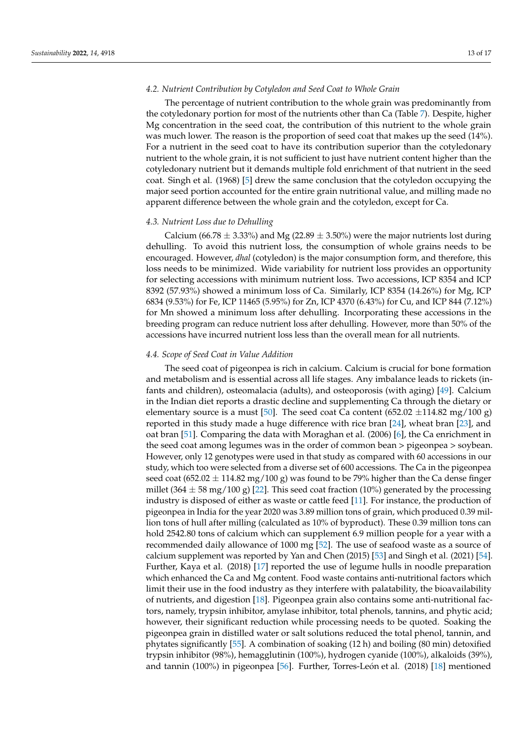## *4.2. Nutrient Contribution by Cotyledon and Seed Coat to Whole Grain*

The percentage of nutrient contribution to the whole grain was predominantly from the cotyledonary portion for most of the nutrients other than Ca (Table [7\)](#page-9-0). Despite, higher Mg concentration in the seed coat, the contribution of this nutrient to the whole grain was much lower. The reason is the proportion of seed coat that makes up the seed (14%). For a nutrient in the seed coat to have its contribution superior than the cotyledonary nutrient to the whole grain, it is not sufficient to just have nutrient content higher than the cotyledonary nutrient but it demands multiple fold enrichment of that nutrient in the seed coat. Singh et al. (1968) [\[5\]](#page-14-4) drew the same conclusion that the cotyledon occupying the major seed portion accounted for the entire grain nutritional value, and milling made no apparent difference between the whole grain and the cotyledon, except for Ca.

# *4.3. Nutrient Loss due to Dehulling*

Calcium (66.78  $\pm$  3.33%) and Mg (22.89  $\pm$  3.50%) were the major nutrients lost during dehulling. To avoid this nutrient loss, the consumption of whole grains needs to be encouraged. However, *dhal* (cotyledon) is the major consumption form, and therefore, this loss needs to be minimized. Wide variability for nutrient loss provides an opportunity for selecting accessions with minimum nutrient loss. Two accessions, ICP 8354 and ICP 8392 (57.93%) showed a minimum loss of Ca. Similarly, ICP 8354 (14.26%) for Mg, ICP 6834 (9.53%) for Fe, ICP 11465 (5.95%) for Zn, ICP 4370 (6.43%) for Cu, and ICP 844 (7.12%) for Mn showed a minimum loss after dehulling. Incorporating these accessions in the breeding program can reduce nutrient loss after dehulling. However, more than 50% of the accessions have incurred nutrient loss less than the overall mean for all nutrients.

# *4.4. Scope of Seed Coat in Value Addition*

The seed coat of pigeonpea is rich in calcium. Calcium is crucial for bone formation and metabolism and is essential across all life stages. Any imbalance leads to rickets (infants and children), osteomalacia (adults), and osteoporosis (with aging) [\[49\]](#page-15-20). Calcium in the Indian diet reports a drastic decline and supplementing Ca through the dietary or elementary source is a must [\[50\]](#page-15-21). The seed coat Ca content (652.02  $\pm$ 114.82 mg/100 g) reported in this study made a huge difference with rice bran [\[24\]](#page-14-23), wheat bran [\[23\]](#page-14-22), and oat bran [\[51\]](#page-15-22). Comparing the data with Moraghan et al. (2006) [\[6\]](#page-14-5), the Ca enrichment in the seed coat among legumes was in the order of common bean > pigeonpea > soybean. However, only 12 genotypes were used in that study as compared with 60 accessions in our study, which too were selected from a diverse set of 600 accessions. The Ca in the pigeonpea seed coat (652.02  $\pm$  114.82 mg/100 g) was found to be 79% higher than the Ca dense finger millet  $(364 \pm 58 \text{ mg}/100 \text{ g})$  [\[22\]](#page-14-21). This seed coat fraction (10%) generated by the processing industry is disposed of either as waste or cattle feed [\[11\]](#page-14-10). For instance, the production of pigeonpea in India for the year 2020 was 3.89 million tons of grain, which produced 0.39 million tons of hull after milling (calculated as 10% of byproduct). These 0.39 million tons can hold 2542.80 tons of calcium which can supplement 6.9 million people for a year with a recommended daily allowance of 1000 mg [\[52\]](#page-15-23). The use of seafood waste as a source of calcium supplement was reported by Yan and Chen (2015) [\[53\]](#page-15-24) and Singh et al. (2021) [\[54\]](#page-15-25). Further, Kaya et al. (2018) [\[17\]](#page-14-16) reported the use of legume hulls in noodle preparation which enhanced the Ca and Mg content. Food waste contains anti-nutritional factors which limit their use in the food industry as they interfere with palatability, the bioavailability of nutrients, and digestion [\[18\]](#page-14-17). Pigeonpea grain also contains some anti-nutritional factors, namely, trypsin inhibitor, amylase inhibitor, total phenols, tannins, and phytic acid; however, their significant reduction while processing needs to be quoted. Soaking the pigeonpea grain in distilled water or salt solutions reduced the total phenol, tannin, and phytates significantly [\[55\]](#page-16-0). A combination of soaking (12 h) and boiling (80 min) detoxified trypsin inhibitor (98%), hemagglutinin (100%), hydrogen cyanide (100%), alkaloids (39%), and tannin (100%) in pigeonpea [\[56\]](#page-16-1). Further, Torres-León et al. (2018) [\[18\]](#page-14-17) mentioned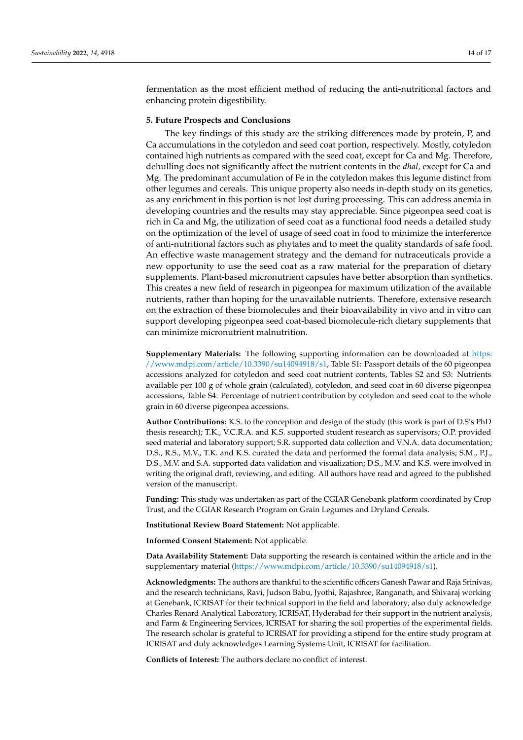fermentation as the most efficient method of reducing the anti-nutritional factors and enhancing protein digestibility.

## **5. Future Prospects and Conclusions**

The key findings of this study are the striking differences made by protein, P, and Ca accumulations in the cotyledon and seed coat portion, respectively. Mostly, cotyledon contained high nutrients as compared with the seed coat, except for Ca and Mg. Therefore, dehulling does not significantly affect the nutrient contents in the *dhal,* except for Ca and Mg. The predominant accumulation of Fe in the cotyledon makes this legume distinct from other legumes and cereals. This unique property also needs in-depth study on its genetics, as any enrichment in this portion is not lost during processing. This can address anemia in developing countries and the results may stay appreciable. Since pigeonpea seed coat is rich in Ca and Mg, the utilization of seed coat as a functional food needs a detailed study on the optimization of the level of usage of seed coat in food to minimize the interference of anti-nutritional factors such as phytates and to meet the quality standards of safe food. An effective waste management strategy and the demand for nutraceuticals provide a new opportunity to use the seed coat as a raw material for the preparation of dietary supplements. Plant-based micronutrient capsules have better absorption than synthetics. This creates a new field of research in pigeonpea for maximum utilization of the available nutrients, rather than hoping for the unavailable nutrients. Therefore, extensive research on the extraction of these biomolecules and their bioavailability in vivo and in vitro can support developing pigeonpea seed coat-based biomolecule-rich dietary supplements that can minimize micronutrient malnutrition.

**Supplementary Materials:** The following supporting information can be downloaded at [https:](https://www.mdpi.com/article/10.3390/su14094918/s1) [//www.mdpi.com/article/10.3390/su14094918/s1,](https://www.mdpi.com/article/10.3390/su14094918/s1) Table S1: Passport details of the 60 pigeonpea accessions analyzed for cotyledon and seed coat nutrient contents, Tables S2 and S3: Nutrients available per 100 g of whole grain (calculated), cotyledon, and seed coat in 60 diverse pigeonpea accessions, Table S4: Percentage of nutrient contribution by cotyledon and seed coat to the whole grain in 60 diverse pigeonpea accessions.

**Author Contributions:** K.S. to the conception and design of the study (this work is part of D.S's PhD thesis research); T.K., V.C.R.A. and K.S. supported student research as supervisors; O.P. provided seed material and laboratory support; S.R. supported data collection and V.N.A. data documentation; D.S., R.S., M.V., T.K. and K.S. curated the data and performed the formal data analysis; S.M., P.J., D.S., M.V. and S.A. supported data validation and visualization; D.S., M.V. and K.S. were involved in writing the original draft, reviewing, and editing. All authors have read and agreed to the published version of the manuscript.

**Funding:** This study was undertaken as part of the CGIAR Genebank platform coordinated by Crop Trust, and the CGIAR Research Program on Grain Legumes and Dryland Cereals.

**Institutional Review Board Statement:** Not applicable.

**Informed Consent Statement:** Not applicable.

**Data Availability Statement:** Data supporting the research is contained within the article and in the supplementary material [\(https://www.mdpi.com/article/10.3390/su14094918/s1\)](https: //www.mdpi.com/article/10.3390/su14094918/s1).

**Acknowledgments:** The authors are thankful to the scientific officers Ganesh Pawar and Raja Srinivas, and the research technicians, Ravi, Judson Babu, Jyothi, Rajashree, Ranganath, and Shivaraj working at Genebank, ICRISAT for their technical support in the field and laboratory; also duly acknowledge Charles Renard Analytical Laboratory, ICRISAT, Hyderabad for their support in the nutrient analysis, and Farm & Engineering Services, ICRISAT for sharing the soil properties of the experimental fields. The research scholar is grateful to ICRISAT for providing a stipend for the entire study program at ICRISAT and duly acknowledges Learning Systems Unit, ICRISAT for facilitation.

**Conflicts of Interest:** The authors declare no conflict of interest.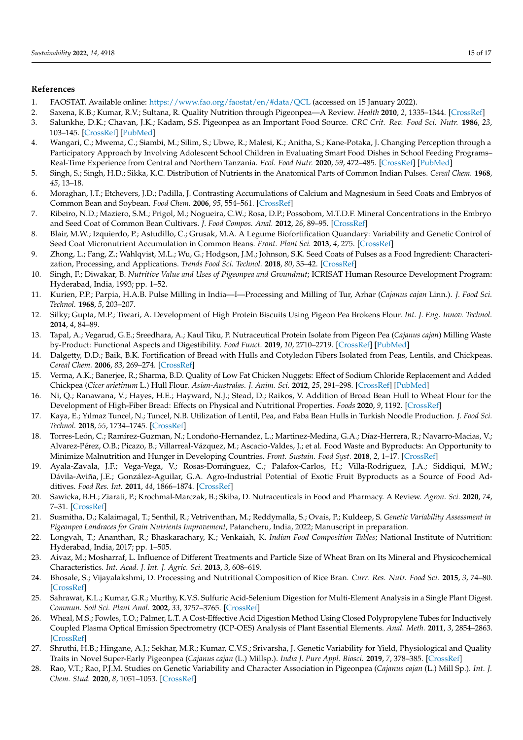# **References**

- <span id="page-14-0"></span>1. FAOSTAT. Available online: <https://www.fao.org/faostat/en/#data/QCL> (accessed on 15 January 2022).
- <span id="page-14-1"></span>2. Saxena, K.B.; Kumar, R.V.; Sultana, R. Quality Nutrition through Pigeonpea—A Review. *Health* **2010**, *2*, 1335–1344. [\[CrossRef\]](http://doi.org/10.4236/health.2010.211199)
- <span id="page-14-2"></span>3. Salunkhe, D.K.; Chavan, J.K.; Kadam, S.S. Pigeonpea as an Important Food Source. *CRC Crit. Rev. Food Sci. Nutr.* **1986**, *23*, 103–145. [\[CrossRef\]](http://doi.org/10.1080/10408398609527422) [\[PubMed\]](http://www.ncbi.nlm.nih.gov/pubmed/3007029)
- <span id="page-14-3"></span>4. Wangari, C.; Mwema, C.; Siambi, M.; Silim, S.; Ubwe, R.; Malesi, K.; Anitha, S.; Kane-Potaka, J. Changing Perception through a Participatory Approach by Involving Adolescent School Children in Evaluating Smart Food Dishes in School Feeding Programs– Real-Time Experience from Central and Northern Tanzania. *Ecol. Food Nutr.* **2020**, *59*, 472–485. [\[CrossRef\]](http://doi.org/10.1080/03670244.2020.1745788) [\[PubMed\]](http://www.ncbi.nlm.nih.gov/pubmed/32233672)
- <span id="page-14-4"></span>5. Singh, S.; Singh, H.D.; Sikka, K.C. Distribution of Nutrients in the Anatomical Parts of Common Indian Pulses. *Cereal Chem.* **1968**, *45*, 13–18.
- <span id="page-14-5"></span>6. Moraghan, J.T.; Etchevers, J.D.; Padilla, J. Contrasting Accumulations of Calcium and Magnesium in Seed Coats and Embryos of Common Bean and Soybean. *Food Chem.* **2006**, *95*, 554–561. [\[CrossRef\]](http://doi.org/10.1016/j.foodchem.2004.10.060)
- <span id="page-14-6"></span>7. Ribeiro, N.D.; Maziero, S.M.; Prigol, M.; Nogueira, C.W.; Rosa, D.P.; Possobom, M.T.D.F. Mineral Concentrations in the Embryo and Seed Coat of Common Bean Cultivars. *J. Food Compos. Anal.* **2012**, *26*, 89–95. [\[CrossRef\]](http://doi.org/10.1016/j.jfca.2012.03.003)
- <span id="page-14-7"></span>8. Blair, M.W.; Izquierdo, P.; Astudillo, C.; Grusak, M.A. A Legume Biofortification Quandary: Variability and Genetic Control of Seed Coat Micronutrient Accumulation in Common Beans. *Front. Plant Sci.* **2013**, *4*, 275. [\[CrossRef\]](http://doi.org/10.3389/fpls.2013.00275)
- <span id="page-14-8"></span>9. Zhong, L.; Fang, Z.; Wahlqvist, M.L.; Wu, G.; Hodgson, J.M.; Johnson, S.K. Seed Coats of Pulses as a Food Ingredient: Characterization, Processing, and Applications. *Trends Food Sci. Technol.* **2018**, *80*, 35–42. [\[CrossRef\]](http://doi.org/10.1016/j.tifs.2018.07.021)
- <span id="page-14-9"></span>10. Singh, F.; Diwakar, B. *Nutritive Value and Uses of Pigeonpea and Groundnut*; ICRISAT Human Resource Development Program: Hyderabad, India, 1993; pp. 1–52.
- <span id="page-14-10"></span>11. Kurien, P.P.; Parpia, H.A.B. Pulse Milling in India—I—Processing and Milling of Tur, Arhar (*Cajanus cajan* Linn.). *J. Food Sci. Technol.* **1968**, *5*, 203–207.
- <span id="page-14-11"></span>12. Silky; Gupta, M.P.; Tiwari, A. Development of High Protein Biscuits Using Pigeon Pea Brokens Flour. *Int. J. Eng. Innov. Technol.* **2014**, *4*, 84–89.
- <span id="page-14-12"></span>13. Tapal, A.; Vegarud, G.E.; Sreedhara, A.; Kaul Tiku, P. Nutraceutical Protein Isolate from Pigeon Pea (*Cajanus cajan*) Milling Waste by-Product: Functional Aspects and Digestibility. *Food Funct.* **2019**, *10*, 2710–2719. [\[CrossRef\]](http://doi.org/10.1039/C8FO01933A) [\[PubMed\]](http://www.ncbi.nlm.nih.gov/pubmed/31032823)
- <span id="page-14-13"></span>14. Dalgetty, D.D.; Baik, B.K. Fortification of Bread with Hulls and Cotyledon Fibers Isolated from Peas, Lentils, and Chickpeas. *Cereal Chem.* **2006**, *83*, 269–274. [\[CrossRef\]](http://doi.org/10.1094/CC-83-0269)
- <span id="page-14-14"></span>15. Verma, A.K.; Banerjee, R.; Sharma, B.D. Quality of Low Fat Chicken Nuggets: Effect of Sodium Chloride Replacement and Added Chickpea (*Cicer arietinum* L.) Hull Flour. *Asian-Australas. J. Anim. Sci.* **2012**, *25*, 291–298. [\[CrossRef\]](http://doi.org/10.5713/ajas.2011.11263) [\[PubMed\]](http://www.ncbi.nlm.nih.gov/pubmed/25049565)
- <span id="page-14-15"></span>16. Ni, Q.; Ranawana, V.; Hayes, H.E.; Hayward, N.J.; Stead, D.; Raikos, V. Addition of Broad Bean Hull to Wheat Flour for the Development of High-Fiber Bread: Effects on Physical and Nutritional Properties. *Foods* **2020**, *9*, 1192. [\[CrossRef\]](http://doi.org/10.3390/foods9091192)
- <span id="page-14-16"></span>17. Kaya, E.; Yılmaz Tuncel, N.; Tuncel, N.B. Utilization of Lentil, Pea, and Faba Bean Hulls in Turkish Noodle Production. *J. Food Sci. Technol.* **2018**, *55*, 1734–1745. [\[CrossRef\]](http://doi.org/10.1007/s13197-018-3086-1)
- <span id="page-14-17"></span>18. Torres-León, C.; Ramírez-Guzman, N.; Londoño-Hernandez, L.; Martinez-Medina, G.A.; Díaz-Herrera, R.; Navarro-Macias, V.; Alvarez-Pérez, O.B.; Picazo, B.; Villarreal-Vázquez, M.; Ascacio-Valdes, J.; et al. Food Waste and Byproducts: An Opportunity to Minimize Malnutrition and Hunger in Developing Countries. *Front. Sustain. Food Syst.* **2018**, *2*, 1–17. [\[CrossRef\]](http://doi.org/10.3389/fsufs.2018.00052)
- <span id="page-14-18"></span>19. Ayala-Zavala, J.F.; Vega-Vega, V.; Rosas-Domínguez, C.; Palafox-Carlos, H.; Villa-Rodriguez, J.A.; Siddiqui, M.W.; Dávila-Aviña, J.E.; González-Aguilar, G.A. Agro-Industrial Potential of Exotic Fruit Byproducts as a Source of Food Additives. *Food Res. Int.* **2011**, *44*, 1866–1874. [\[CrossRef\]](http://doi.org/10.1016/j.foodres.2011.02.021)
- <span id="page-14-19"></span>20. Sawicka, B.H.; Ziarati, P.; Krochmal-Marczak, B.; Skiba, D. Nutraceuticals in Food and Pharmacy. A Review. *Agron. Sci.* **2020**, *74*, 7–31. [\[CrossRef\]](http://doi.org/10.24326/as.2019.4.1)
- <span id="page-14-20"></span>21. Susmitha, D.; Kalaimagal, T.; Senthil, R.; Vetriventhan, M.; Reddymalla, S.; Ovais, P.; Kuldeep, S. *Genetic Variability Assessment in Pigeonpea Landraces for Grain Nutrients Improvement*, Patancheru, India, 2022; Manuscript in preparation.
- <span id="page-14-21"></span>22. Longvah, T.; Ananthan, R.; Bhaskarachary, K.; Venkaiah, K. *Indian Food Composition Tables*; National Institute of Nutrition: Hyderabad, India, 2017; pp. 1–505.
- <span id="page-14-22"></span>23. Aivaz, M.; Mosharraf, L. Influence of Different Treatments and Particle Size of Wheat Bran on Its Mineral and Physicochemical Characteristics. *Int. Acad. J. Int. J. Agric. Sci.* **2013**, *3*, 608–619.
- <span id="page-14-23"></span>24. Bhosale, S.; Vijayalakshmi, D. Processing and Nutritional Composition of Rice Bran. *Curr. Res. Nutr. Food Sci.* **2015**, *3*, 74–80. [\[CrossRef\]](http://doi.org/10.12944/CRNFSJ.3.1.08)
- <span id="page-14-24"></span>25. Sahrawat, K.L.; Kumar, G.R.; Murthy, K.V.S. Sulfuric Acid-Selenium Digestion for Multi-Element Analysis in a Single Plant Digest. *Commun. Soil Sci. Plant Anal.* **2002**, *33*, 3757–3765. [\[CrossRef\]](http://doi.org/10.1081/CSS-120015920)
- <span id="page-14-25"></span>26. Wheal, M.S.; Fowles, T.O.; Palmer, L.T. A Cost-Effective Acid Digestion Method Using Closed Polypropylene Tubes for Inductively Coupled Plasma Optical Emission Spectrometry (ICP-OES) Analysis of Plant Essential Elements. *Anal. Meth.* **2011**, *3*, 2854–2863. [\[CrossRef\]](http://doi.org/10.1039/c1ay05430a)
- <span id="page-14-26"></span>27. Shruthi, H.B.; Hingane, A.J.; Sekhar, M.R.; Kumar, C.V.S.; Srivarsha, J. Genetic Variability for Yield, Physiological and Quality Traits in Novel Super-Early Pigeonpea (*Cajanus cajan* (L.) Millsp.). *India J. Pure Appl. Biosci.* **2019**, *7*, 378–385. [\[CrossRef\]](http://doi.org/10.18782/2582-2845.7941)
- <span id="page-14-27"></span>28. Rao, V.T.; Rao, P.J.M. Studies on Genetic Variability and Character Association in Pigeonpea (*Cajanus cajan* (L.) Mill Sp.). *Int. J. Chem. Stud.* **2020**, *8*, 1051–1053. [\[CrossRef\]](http://doi.org/10.22271/chemi.2020.v8.i4h.9742)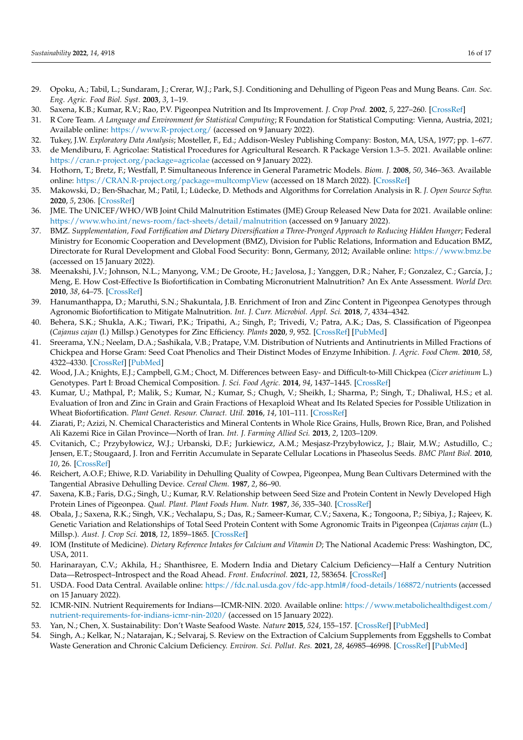- <span id="page-15-0"></span>29. Opoku, A.; Tabil, L.; Sundaram, J.; Crerar, W.J.; Park, S.J. Conditioning and Dehulling of Pigeon Peas and Mung Beans. *Can. Soc. Eng. Agric. Food Biol. Syst.* **2003**, *3*, 1–19.
- <span id="page-15-1"></span>30. Saxena, K.B.; Kumar, R.V.; Rao, P.V. Pigeonpea Nutrition and Its Improvement. *J. Crop Prod.* **2002**, *5*, 227–260. [\[CrossRef\]](http://doi.org/10.1300/J144v05n01_10)
- <span id="page-15-2"></span>31. R Core Team. *A Language and Environment for Statistical Computing*; R Foundation for Statistical Computing: Vienna, Austria, 2021; Available online: <https://www.R-project.org/> (accessed on 9 January 2022).
- <span id="page-15-3"></span>32. Tukey, J.W. *Exploratory Data Analysis*; Mosteller, F., Ed.; Addison-Wesley Publishing Company: Boston, MA, USA, 1977; pp. 1–677.
- <span id="page-15-4"></span>33. de Mendiburu, F. Agricolae: Statistical Procedures for Agricultural Research. R Package Version 1.3–5. 2021. Available online: <https://cran.r-project.org/package=agricolae> (accessed on 9 January 2022).
- <span id="page-15-5"></span>34. Hothorn, T.; Bretz, F.; Westfall, P. Simultaneous Inference in General Parametric Models. *Biom. J.* **2008**, *50*, 346–363. Available online: <https://CRAN.R-project.org/package=multcompView> (accessed on 18 March 2022). [\[CrossRef\]](http://doi.org/10.1002/bimj.200810425)
- <span id="page-15-6"></span>35. Makowski, D.; Ben-Shachar, M.; Patil, I.; Lüdecke, D. Methods and Algorithms for Correlation Analysis in R. *J. Open Source Softw.* **2020**, *5*, 2306. [\[CrossRef\]](http://doi.org/10.21105/joss.02306)
- <span id="page-15-7"></span>36. JME. The UNICEF/WHO/WB Joint Child Malnutrition Estimates (JME) Group Released New Data for 2021. Available online: <https://www.who.int/news-room/fact-sheets/detail/malnutrition> (accessed on 9 January 2022).
- <span id="page-15-8"></span>37. BMZ. *Supplementation, Food Fortification and Dietary Diversification a Three-Pronged Approach to Reducing Hidden Hunger*; Federal Ministry for Economic Cooperation and Development (BMZ), Division for Public Relations, Information and Education BMZ, Directorate for Rural Development and Global Food Security: Bonn, Germany, 2012; Available online: <https://www.bmz.be> (accessed on 15 January 2022).
- <span id="page-15-9"></span>38. Meenakshi, J.V.; Johnson, N.L.; Manyong, V.M.; De Groote, H.; Javelosa, J.; Yanggen, D.R.; Naher, F.; Gonzalez, C.; García, J.; Meng, E. How Cost-Effective Is Biofortification in Combating Micronutrient Malnutrition? An Ex Ante Assessment. *World Dev.* **2010**, *38*, 64–75. [\[CrossRef\]](http://doi.org/10.1016/j.worlddev.2009.03.014)
- <span id="page-15-10"></span>39. Hanumanthappa, D.; Maruthi, S.N.; Shakuntala, J.B. Enrichment of Iron and Zinc Content in Pigeonpea Genotypes through Agronomic Biofortification to Mitigate Malnutrition. *Int. J. Curr. Microbiol. Appl. Sci.* **2018**, *7*, 4334–4342.
- <span id="page-15-11"></span>40. Behera, S.K.; Shukla, A.K.; Tiwari, P.K.; Tripathi, A.; Singh, P.; Trivedi, V.; Patra, A.K.; Das, S. Classification of Pigeonpea (*Cajanus cajan* (l.) Millsp.) Genotypes for Zinc Efficiency. *Plants* **2020**, *9*, 952. [\[CrossRef\]](http://doi.org/10.3390/plants9080952) [\[PubMed\]](http://www.ncbi.nlm.nih.gov/pubmed/32731513)
- <span id="page-15-12"></span>41. Sreerama, Y.N.; Neelam, D.A.; Sashikala, V.B.; Pratape, V.M. Distribution of Nutrients and Antinutrients in Milled Fractions of Chickpea and Horse Gram: Seed Coat Phenolics and Their Distinct Modes of Enzyme Inhibition. *J. Agric. Food Chem.* **2010**, *58*, 4322–4330. [\[CrossRef\]](http://doi.org/10.1021/jf903101k) [\[PubMed\]](http://www.ncbi.nlm.nih.gov/pubmed/20307081)
- <span id="page-15-13"></span>42. Wood, J.A.; Knights, E.J.; Campbell, G.M.; Choct, M. Differences between Easy- and Difficult-to-Mill Chickpea (*Cicer arietinum* L.) Genotypes. Part I: Broad Chemical Composition. *J. Sci. Food Agric.* **2014**, *94*, 1437–1445. [\[CrossRef\]](http://doi.org/10.1002/jsfa.6437)
- <span id="page-15-14"></span>43. Kumar, U.; Mathpal, P.; Malik, S.; Kumar, N.; Kumar, S.; Chugh, V.; Sheikh, I.; Sharma, P.; Singh, T.; Dhaliwal, H.S.; et al. Evaluation of Iron and Zinc in Grain and Grain Fractions of Hexaploid Wheat and Its Related Species for Possible Utilization in Wheat Biofortification. *Plant Genet. Resour. Charact. Util.* **2016**, *14*, 101–111. [\[CrossRef\]](http://doi.org/10.1017/S147926211500012X)
- <span id="page-15-15"></span>44. Ziarati, P.; Azizi, N. Chemical Characteristics and Mineral Contents in Whole Rice Grains, Hulls, Brown Rice, Bran, and Polished Ali Kazemi Rice in Gilan Province—North of Iran. *Int. J. Farming Allied Sci.* **2013**, *2*, 1203–1209.
- <span id="page-15-16"></span>45. Cvitanich, C.; Przybyłowicz, W.J.; Urbanski, D.F.; Jurkiewicz, A.M.; Mesjasz-Przybyłowicz, J.; Blair, M.W.; Astudillo, C.; Jensen, E.T.; Stougaard, J. Iron and Ferritin Accumulate in Separate Cellular Locations in Phaseolus Seeds. *BMC Plant Biol.* **2010**, *10*, 26. [\[CrossRef\]](http://doi.org/10.1186/1471-2229-10-26)
- <span id="page-15-17"></span>46. Reichert, A.O.F.; Ehiwe, R.D. Variability in Dehulling Quality of Cowpea, Pigeonpea, Mung Bean Cultivars Determined with the Tangential Abrasive Dehulling Device. *Cereal Chem.* **1987**, *2*, 86–90.
- <span id="page-15-18"></span>47. Saxena, K.B.; Faris, D.G.; Singh, U.; Kumar, R.V. Relationship between Seed Size and Protein Content in Newly Developed High Protein Lines of Pigeonpea. *Qual. Plant. Plant Foods Hum. Nutr.* **1987**, *36*, 335–340. [\[CrossRef\]](http://doi.org/10.1007/BF01892354)
- <span id="page-15-19"></span>48. Obala, J.; Saxena, R.K.; Singh, V.K.; Vechalapu, S.; Das, R.; Sameer-Kumar, C.V.; Saxena, K.; Tongoona, P.; Sibiya, J.; Rajeev, K. Genetic Variation and Relationships of Total Seed Protein Content with Some Agronomic Traits in Pigeonpea (*Cajanus cajan* (L.) Millsp.). *Aust. J. Crop Sci.* **2018**, *12*, 1859–1865. [\[CrossRef\]](http://doi.org/10.21475/ajcs.18.12.12.p1138)
- <span id="page-15-20"></span>49. IOM (Institute of Medicine). *Dietary Reference Intakes for Calcium and Vitamin D*; The National Academic Press: Washington, DC, USA, 2011.
- <span id="page-15-21"></span>50. Harinarayan, C.V.; Akhila, H.; Shanthisree, E. Modern India and Dietary Calcium Deficiency—Half a Century Nutrition Data—Retrospect–Introspect and the Road Ahead. *Front. Endocrinol.* **2021**, *12*, 583654. [\[CrossRef\]](http://doi.org/10.3389/fendo.2021.583654)
- <span id="page-15-22"></span>51. USDA. Food Data Central. Available online: <https://fdc.nal.usda.gov/fdc-app.html#/food-details/168872/nutrients> (accessed on 15 January 2022).
- <span id="page-15-23"></span>52. ICMR-NIN. Nutrient Requirements for Indians—ICMR-NIN. 2020. Available online: [https://www.metabolichealthdigest.com/](https://www.metabolichealthdigest.com/nutrient-requirements-for-indians-icmr-nin-2020/) [nutrient-requirements-for-indians-icmr-nin-2020/](https://www.metabolichealthdigest.com/nutrient-requirements-for-indians-icmr-nin-2020/) (accessed on 15 January 2022).
- <span id="page-15-24"></span>53. Yan, N.; Chen, X. Sustainability: Don't Waste Seafood Waste. *Nature* **2015**, *524*, 155–157. [\[CrossRef\]](http://doi.org/10.1038/524155a) [\[PubMed\]](http://www.ncbi.nlm.nih.gov/pubmed/26268177)
- <span id="page-15-25"></span>54. Singh, A.; Kelkar, N.; Natarajan, K.; Selvaraj, S. Review on the Extraction of Calcium Supplements from Eggshells to Combat Waste Generation and Chronic Calcium Deficiency. *Environ. Sci. Pollut. Res.* **2021**, *28*, 46985–46998. [\[CrossRef\]](http://doi.org/10.1007/s11356-021-15158-w) [\[PubMed\]](http://www.ncbi.nlm.nih.gov/pubmed/34269980)